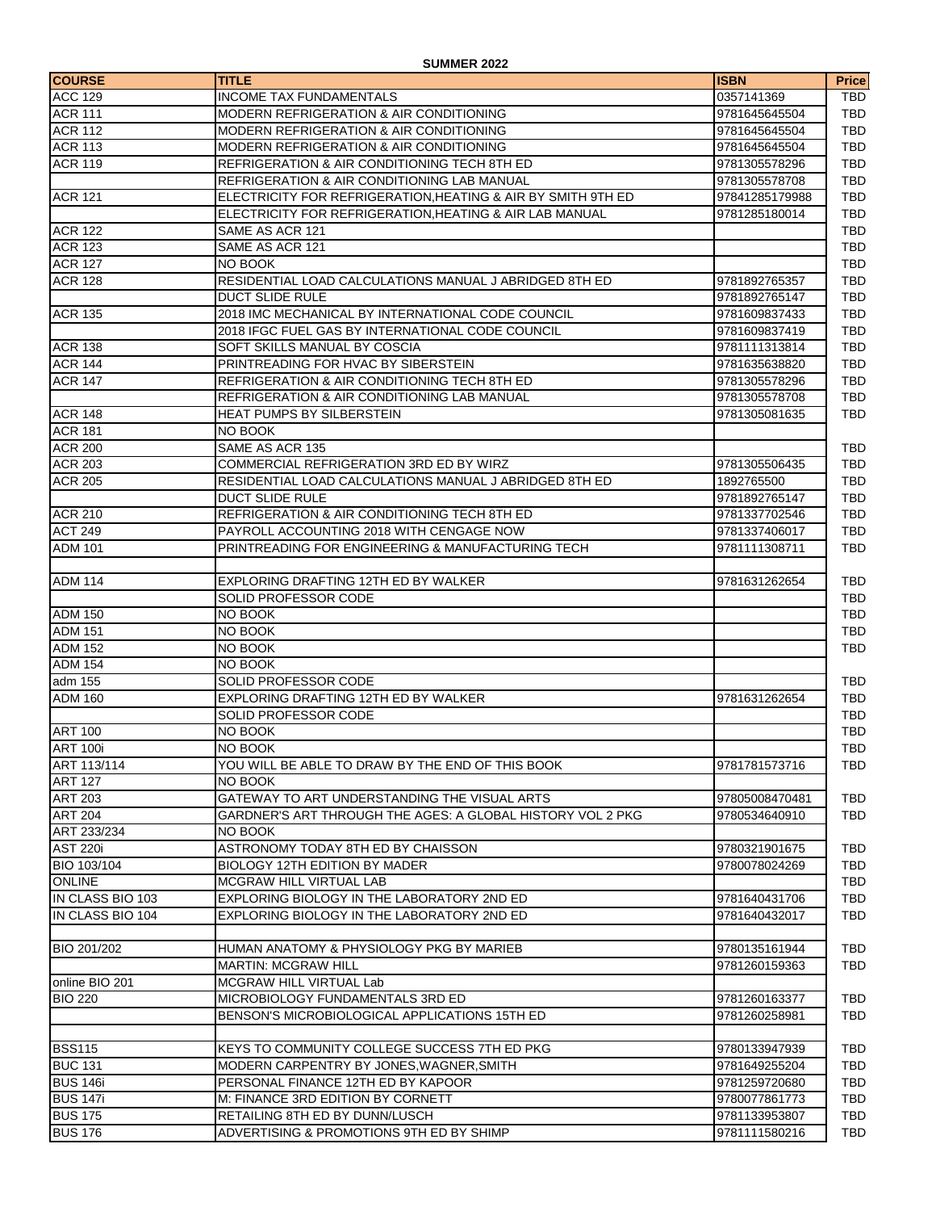| <b>COURSE</b>    | <b>TITLE</b>                                                 | <b>ISBN</b>    | <b>Price</b> |
|------------------|--------------------------------------------------------------|----------------|--------------|
| <b>ACC 129</b>   | <b>INCOME TAX FUNDAMENTALS</b>                               | 0357141369     | <b>TBD</b>   |
| <b>ACR 111</b>   | <b>MODERN REFRIGERATION &amp; AIR CONDITIONING</b>           | 9781645645504  | TBD          |
| <b>ACR 112</b>   | <b>MODERN REFRIGERATION &amp; AIR CONDITIONING</b>           | 9781645645504  | <b>TBD</b>   |
| <b>ACR 113</b>   | <b>MODERN REFRIGERATION &amp; AIR CONDITIONING</b>           | 9781645645504  | <b>TBD</b>   |
| <b>ACR 119</b>   | REFRIGERATION & AIR CONDITIONING TECH 8TH ED                 | 9781305578296  | TBD          |
|                  | <b>REFRIGERATION &amp; AIR CONDITIONING LAB MANUAL</b>       | 9781305578708  | TBD          |
| <b>ACR 121</b>   | ELECTRICITY FOR REFRIGERATION, HEATING & AIR BY SMITH 9TH ED | 97841285179988 | TBD          |
|                  | ELECTRICITY FOR REFRIGERATION, HEATING & AIR LAB MANUAL      | 9781285180014  | TBD          |
| <b>ACR 122</b>   | SAME AS ACR 121                                              |                | <b>TBD</b>   |
| <b>ACR 123</b>   | SAME AS ACR 121                                              |                | TBD          |
| <b>ACR 127</b>   | NO BOOK                                                      |                | <b>TBD</b>   |
| <b>ACR 128</b>   | RESIDENTIAL LOAD CALCULATIONS MANUAL J ABRIDGED 8TH ED       | 9781892765357  | <b>TBD</b>   |
|                  | <b>DUCT SLIDE RULE</b>                                       | 9781892765147  | TBD          |
| <b>ACR 135</b>   | 2018 IMC MECHANICAL BY INTERNATIONAL CODE COUNCIL            | 9781609837433  | TBD          |
|                  | 2018 IFGC FUEL GAS BY INTERNATIONAL CODE COUNCIL             | 9781609837419  | <b>TBD</b>   |
| <b>ACR 138</b>   | SOFT SKILLS MANUAL BY COSCIA                                 | 9781111313814  | TBD          |
| <b>ACR 144</b>   | PRINTREADING FOR HVAC BY SIBERSTEIN                          | 9781635638820  | TBD          |
| <b>ACR 147</b>   | <b>REFRIGERATION &amp; AIR CONDITIONING TECH 8TH ED</b>      | 9781305578296  | TBD          |
|                  | REFRIGERATION & AIR CONDITIONING LAB MANUAL                  | 9781305578708  | <b>TBD</b>   |
| <b>ACR 148</b>   | HEAT PUMPS BY SILBERSTEIN                                    | 9781305081635  | <b>TBD</b>   |
| <b>ACR 181</b>   | NO BOOK                                                      |                |              |
| <b>ACR 200</b>   | SAME AS ACR 135                                              |                | TBD          |
| <b>ACR 203</b>   | COMMERCIAL REFRIGERATION 3RD ED BY WIRZ                      | 9781305506435  | <b>TBD</b>   |
| <b>ACR 205</b>   | RESIDENTIAL LOAD CALCULATIONS MANUAL J ABRIDGED 8TH ED       | 1892765500     | TBD          |
|                  | <b>DUCT SLIDE RULE</b>                                       | 9781892765147  | <b>TBD</b>   |
| <b>ACR 210</b>   | REFRIGERATION & AIR CONDITIONING TECH 8TH ED                 | 9781337702546  | <b>TBD</b>   |
| <b>ACT 249</b>   | PAYROLL ACCOUNTING 2018 WITH CENGAGE NOW                     | 9781337406017  | TBD          |
| <b>ADM 101</b>   | <b>PRINTREADING FOR ENGINEERING &amp; MANUFACTURING TECH</b> | 9781111308711  | <b>TBD</b>   |
|                  |                                                              |                |              |
| <b>ADM 114</b>   | EXPLORING DRAFTING 12TH ED BY WALKER                         | 9781631262654  | TBD          |
|                  | SOLID PROFESSOR CODE                                         |                | TBD          |
| <b>ADM 150</b>   | NO BOOK                                                      |                | TBD          |
| <b>ADM 151</b>   | NO BOOK                                                      |                | TBD          |
| <b>ADM 152</b>   | NO BOOK                                                      |                | <b>TBD</b>   |
| <b>ADM 154</b>   | NO BOOK                                                      |                |              |
| adm 155          | SOLID PROFESSOR CODE                                         |                | TBD          |
| <b>ADM 160</b>   | EXPLORING DRAFTING 12TH ED BY WALKER                         | 9781631262654  | TBD          |
|                  | SOLID PROFESSOR CODE                                         |                | TBD          |
| <b>ART 100</b>   | NO BOOK                                                      |                | TBD          |
| <b>ART 100i</b>  | NO BOOK                                                      |                | TBD          |
| ART 113/114      | YOU WILL BE ABLE TO DRAW BY THE END OF THIS BOOK             | 9781781573716  | TBD          |
| <b>ART 127</b>   | NO BOOK                                                      |                |              |
| <b>ART 203</b>   | GATEWAY TO ART UNDERSTANDING THE VISUAL ARTS                 | 97805008470481 | TBD          |
| <b>ART 204</b>   | GARDNER'S ART THROUGH THE AGES: A GLOBAL HISTORY VOL 2 PKG   | 9780534640910  | <b>TBD</b>   |
| ART 233/234      | NO BOOK                                                      |                |              |
| <b>AST 220i</b>  | ASTRONOMY TODAY 8TH ED BY CHAISSON                           | 9780321901675  | TBD          |
| BIO 103/104      | <b>BIOLOGY 12TH EDITION BY MADER</b>                         | 9780078024269  | TBD          |
| <b>ONLINE</b>    | <b>MCGRAW HILL VIRTUAL LAB</b>                               |                | TBD          |
| IN CLASS BIO 103 | EXPLORING BIOLOGY IN THE LABORATORY 2ND ED                   | 9781640431706  | TBD          |
| IN CLASS BIO 104 | EXPLORING BIOLOGY IN THE LABORATORY 2ND ED                   | 9781640432017  | TBD          |
|                  |                                                              |                |              |
| BIO 201/202      | HUMAN ANATOMY & PHYSIOLOGY PKG BY MARIEB                     | 9780135161944  | TBD          |
|                  | <b>MARTIN: MCGRAW HILL</b>                                   | 9781260159363  | TBD          |
| online BIO 201   | MCGRAW HILL VIRTUAL Lab                                      |                |              |
| <b>BIO 220</b>   | MICROBIOLOGY FUNDAMENTALS 3RD ED                             | 9781260163377  | TBD          |
|                  | BENSON'S MICROBIOLOGICAL APPLICATIONS 15TH ED                | 9781260258981  | TBD          |
|                  |                                                              |                |              |
| <b>BSS115</b>    | KEYS TO COMMUNITY COLLEGE SUCCESS 7TH ED PKG                 | 9780133947939  | TBD          |
| <b>BUC 131</b>   | MODERN CARPENTRY BY JONES, WAGNER, SMITH                     | 9781649255204  | TBD          |
| <b>BUS 146i</b>  | PERSONAL FINANCE 12TH ED BY KAPOOR                           | 9781259720680  | TBD          |
| <b>BUS 147i</b>  | M: FINANCE 3RD EDITION BY CORNETT                            | 9780077861773  | TBD          |
| <b>BUS 175</b>   | RETAILING 8TH ED BY DUNN/LUSCH                               | 9781133953807  | TBD          |
| <b>BUS 176</b>   | ADVERTISING & PROMOTIONS 9TH ED BY SHIMP                     | 9781111580216  | TBD          |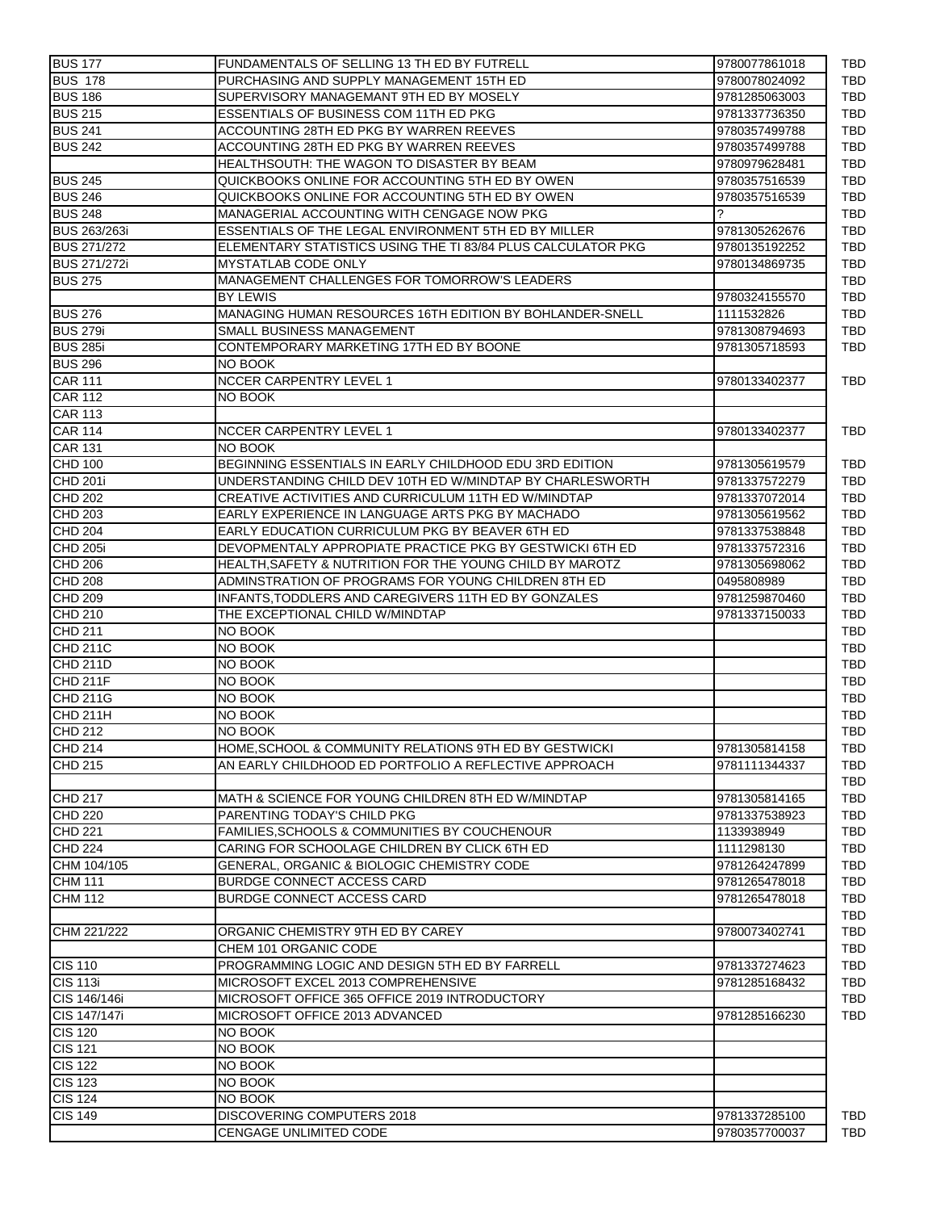| <b>BUS 177</b>      | FUNDAMENTALS OF SELLING 13 TH ED BY FUTRELL                  | 9780077861018 |
|---------------------|--------------------------------------------------------------|---------------|
| <b>BUS 178</b>      | PURCHASING AND SUPPLY MANAGEMENT 15TH ED                     | 9780078024092 |
| <b>BUS 186</b>      | SUPERVISORY MANAGEMANT 9TH ED BY MOSELY                      | 9781285063003 |
| <b>BUS 215</b>      | ESSENTIALS OF BUSINESS COM 11TH ED PKG                       | 9781337736350 |
| <b>BUS 241</b>      | ACCOUNTING 28TH ED PKG BY WARREN REEVES                      | 9780357499788 |
| <b>BUS 242</b>      | ACCOUNTING 28TH ED PKG BY WARREN REEVES                      | 9780357499788 |
|                     | HEALTHSOUTH: THE WAGON TO DISASTER BY BEAM                   | 9780979628481 |
| <b>BUS 245</b>      | QUICKBOOKS ONLINE FOR ACCOUNTING 5TH ED BY OWEN              | 9780357516539 |
| <b>BUS 246</b>      | QUICKBOOKS ONLINE FOR ACCOUNTING 5TH ED BY OWEN              | 9780357516539 |
| <b>BUS 248</b>      | MANAGERIAL ACCOUNTING WITH CENGAGE NOW PKG                   | ?             |
| <b>BUS 263/263i</b> | ESSENTIALS OF THE LEGAL ENVIRONMENT 5TH ED BY MILLER         | 9781305262676 |
| <b>BUS 271/272</b>  | ELEMENTARY STATISTICS USING THE TI 83/84 PLUS CALCULATOR PKG | 9780135192252 |
| <b>BUS 271/272i</b> | MYSTATLAB CODE ONLY                                          | 9780134869735 |
| <b>BUS 275</b>      | MANAGEMENT CHALLENGES FOR TOMORROW'S LEADERS                 |               |
|                     | <b>BY LEWIS</b>                                              | 9780324155570 |
| <b>BUS 276</b>      | MANAGING HUMAN RESOURCES 16TH EDITION BY BOHLANDER-SNELL     | 1111532826    |
| <b>BUS 279i</b>     |                                                              |               |
|                     | SMALL BUSINESS MANAGEMENT                                    | 9781308794693 |
| <b>BUS 285i</b>     | CONTEMPORARY MARKETING 17TH ED BY BOONE                      | 9781305718593 |
| <b>BUS 296</b>      | NO BOOK                                                      |               |
| <b>CAR 111</b>      | <b>NCCER CARPENTRY LEVEL 1</b>                               | 9780133402377 |
| <b>CAR 112</b>      | NO BOOK                                                      |               |
| <b>CAR 113</b>      |                                                              |               |
| <b>CAR 114</b>      | <b>NCCER CARPENTRY LEVEL 1</b>                               | 9780133402377 |
| <b>CAR 131</b>      | NO BOOK                                                      |               |
| <b>CHD 100</b>      | BEGINNING ESSENTIALS IN EARLY CHILDHOOD EDU 3RD EDITION      | 9781305619579 |
| <b>CHD 201i</b>     | UNDERSTANDING CHILD DEV 10TH ED W/MINDTAP BY CHARLESWORTH    | 9781337572279 |
| <b>CHD 202</b>      | CREATIVE ACTIVITIES AND CURRICULUM 11TH ED W/MINDTAP         | 9781337072014 |
| CHD 203             | EARLY EXPERIENCE IN LANGUAGE ARTS PKG BY MACHADO             | 9781305619562 |
| <b>CHD 204</b>      | EARLY EDUCATION CURRICULUM PKG BY BEAVER 6TH ED              | 9781337538848 |
| <b>CHD 205i</b>     | DEVOPMENTALY APPROPIATE PRACTICE PKG BY GESTWICKI 6TH ED     | 9781337572316 |
| <b>CHD 206</b>      | HEALTH, SAFETY & NUTRITION FOR THE YOUNG CHILD BY MAROTZ     | 9781305698062 |
| <b>CHD 208</b>      | ADMINSTRATION OF PROGRAMS FOR YOUNG CHILDREN 8TH ED          | 0495808989    |
| <b>CHD 209</b>      | INFANTS, TODDLERS AND CAREGIVERS 11TH ED BY GONZALES         | 9781259870460 |
| <b>CHD 210</b>      | THE EXCEPTIONAL CHILD W/MINDTAP                              | 9781337150033 |
|                     |                                                              |               |
| <b>CHD 211</b>      | NO BOOK                                                      |               |
| <b>CHD 211C</b>     | NO BOOK                                                      |               |
| <b>CHD 211D</b>     | NO BOOK                                                      |               |
| <b>CHD 211F</b>     | NO BOOK                                                      |               |
| <b>CHD 211G</b>     | NO BOOK                                                      |               |
| <b>CHD 211H</b>     | NO BOOK                                                      |               |
| CHD 212             | NO BOOK                                                      |               |
| <b>CHD 214</b>      | HOME, SCHOOL & COMMUNITY RELATIONS 9TH ED BY GESTWICKI       | 9781305814158 |
| CHD 215             | AN EARLY CHILDHOOD ED PORTFOLIO A REFLECTIVE APPROACH        | 9781111344337 |
|                     |                                                              |               |
| CHD 217             | MATH & SCIENCE FOR YOUNG CHILDREN 8TH ED W/MINDTAP           | 9781305814165 |
| <b>CHD 220</b>      | PARENTING TODAY'S CHILD PKG                                  | 9781337538923 |
| <b>CHD 221</b>      | FAMILIES, SCHOOLS & COMMUNITIES BY COUCHENOUR                | 1133938949    |
| <b>CHD 224</b>      | CARING FOR SCHOOLAGE CHILDREN BY CLICK 6TH ED                | 1111298130    |
| CHM 104/105         | GENERAL, ORGANIC & BIOLOGIC CHEMISTRY CODE                   | 9781264247899 |
| <b>CHM 111</b>      | <b>BURDGE CONNECT ACCESS CARD</b>                            | 9781265478018 |
| <b>CHM 112</b>      | <b>BURDGE CONNECT ACCESS CARD</b>                            | 9781265478018 |
|                     |                                                              |               |
| CHM 221/222         | ORGANIC CHEMISTRY 9TH ED BY CAREY                            | 9780073402741 |
|                     |                                                              |               |
|                     | CHEM 101 ORGANIC CODE                                        |               |
| CIS 110             | PROGRAMMING LOGIC AND DESIGN 5TH ED BY FARRELL               | 9781337274623 |
| <b>CIS 113i</b>     | MICROSOFT EXCEL 2013 COMPREHENSIVE                           | 9781285168432 |
| CIS 146/146i        | MICROSOFT OFFICE 365 OFFICE 2019 INTRODUCTORY                |               |
| CIS 147/147i        | MICROSOFT OFFICE 2013 ADVANCED                               | 9781285166230 |
| <b>CIS 120</b>      | NO BOOK                                                      |               |
| <b>CIS 121</b>      | NO BOOK                                                      |               |
| <b>CIS 122</b>      | NO BOOK                                                      |               |
| <b>CIS 123</b>      | NO BOOK                                                      |               |
| <b>CIS 124</b>      | NO BOOK                                                      |               |
| <b>CIS 149</b>      | DISCOVERING COMPUTERS 2018                                   | 9781337285100 |
|                     |                                                              |               |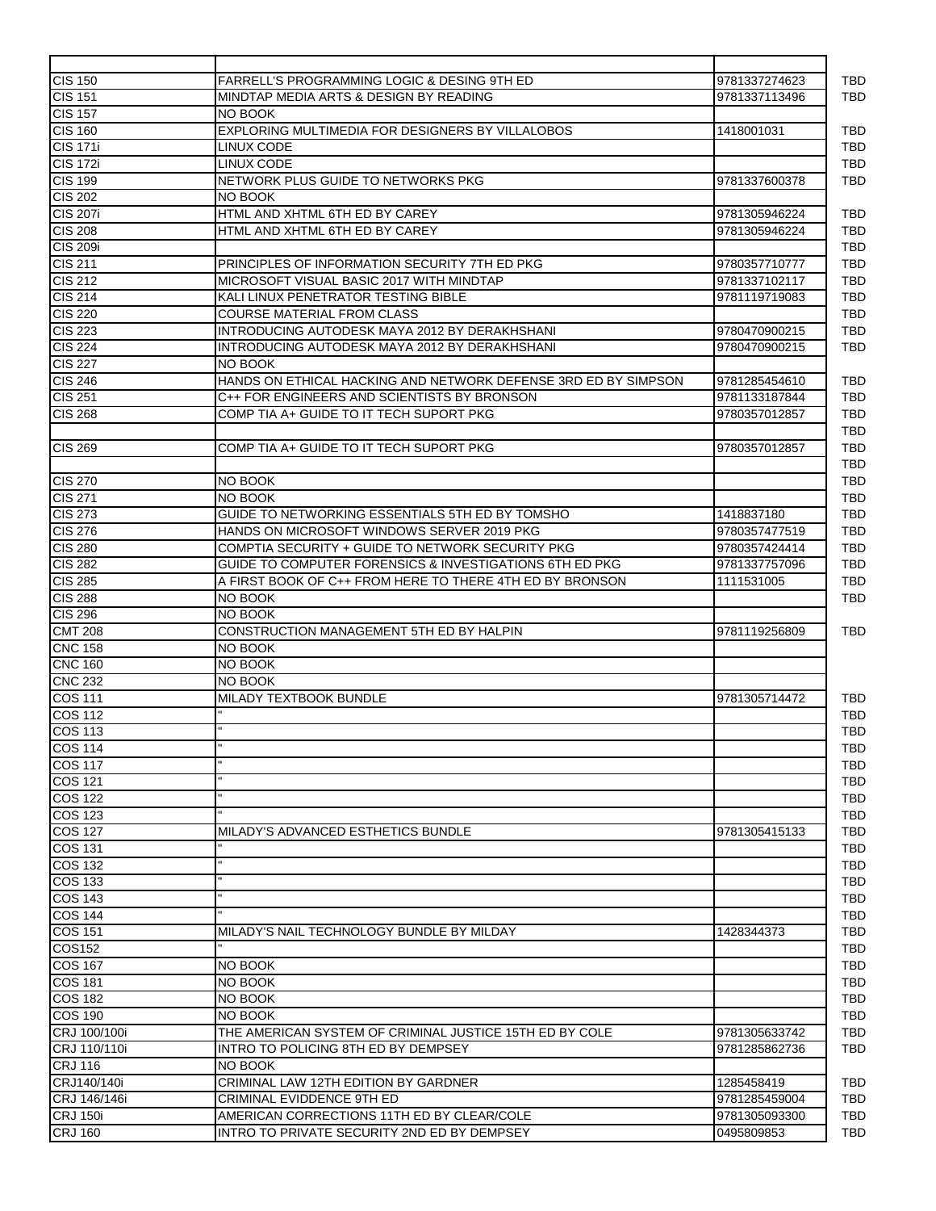| <b>CIS 150</b>  | FARRELL'S PROGRAMMING LOGIC & DESING 9TH ED                    | 9781337274623 |
|-----------------|----------------------------------------------------------------|---------------|
| <b>CIS 151</b>  | MINDTAP MEDIA ARTS & DESIGN BY READING                         | 9781337113496 |
| $CIS$ 157       | NO BOOK                                                        |               |
| <b>CIS 160</b>  | EXPLORING MULTIMEDIA FOR DESIGNERS BY VILLALOBOS               | 1418001031    |
| <b>CIS 171i</b> | LINUX CODE                                                     |               |
| <b>CIS 172i</b> | LINUX CODE                                                     |               |
| <b>CIS 199</b>  | NETWORK PLUS GUIDE TO NETWORKS PKG                             | 9781337600378 |
| <b>CIS 202</b>  | <b>NO BOOK</b>                                                 |               |
| <b>CIS 207i</b> | HTML AND XHTML 6TH ED BY CAREY                                 | 9781305946224 |
| <b>CIS 208</b>  | HTML AND XHTML 6TH ED BY CAREY                                 | 9781305946224 |
| <b>CIS 209i</b> |                                                                |               |
| <b>CIS 211</b>  | PRINCIPLES OF INFORMATION SECURITY 7TH ED PKG                  | 9780357710777 |
| <b>CIS 212</b>  | MICROSOFT VISUAL BASIC 2017 WITH MINDTAP                       | 9781337102117 |
| CIS 214         | KALI LINUX PENETRATOR TESTING BIBLE                            | 9781119719083 |
|                 |                                                                |               |
| <b>CIS 220</b>  | <b>COURSE MATERIAL FROM CLASS</b>                              |               |
| <b>CIS 223</b>  | INTRODUCING AUTODESK MAYA 2012 BY DERAKHSHANI                  | 9780470900215 |
| <b>CIS 224</b>  | INTRODUCING AUTODESK MAYA 2012 BY DERAKHSHANI                  | 9780470900215 |
| <b>CIS 227</b>  | <b>NO BOOK</b>                                                 |               |
| <b>CIS 246</b>  | HANDS ON ETHICAL HACKING AND NETWORK DEFENSE 3RD ED BY SIMPSON | 9781285454610 |
| <b>CIS 251</b>  | C++ FOR ENGINEERS AND SCIENTISTS BY BRONSON                    | 9781133187844 |
| <b>CIS 268</b>  | COMP TIA A+ GUIDE TO IT TECH SUPORT PKG                        | 9780357012857 |
|                 |                                                                |               |
| <b>CIS 269</b>  | COMP TIA A+ GUIDE TO IT TECH SUPORT PKG                        | 9780357012857 |
|                 |                                                                |               |
| <b>CIS 270</b>  | NO BOOK                                                        |               |
| CIS 271         | NO BOOK                                                        |               |
| <b>CIS 273</b>  | GUIDE TO NETWORKING ESSENTIALS 5TH ED BY TOMSHO                | 1418837180    |
| <b>CIS 276</b>  | HANDS ON MICROSOFT WINDOWS SERVER 2019 PKG                     |               |
|                 |                                                                | 9780357477519 |
| <b>CIS 280</b>  | COMPTIA SECURITY + GUIDE TO NETWORK SECURITY PKG               | 9780357424414 |
| <b>CIS 282</b>  | GUIDE TO COMPUTER FORENSICS & INVESTIGATIONS 6TH ED PKG        | 9781337757096 |
| <b>CIS 285</b>  | A FIRST BOOK OF C++ FROM HERE TO THERE 4TH ED BY BRONSON       | 1111531005    |
| <b>CIS 288</b>  | NO BOOK                                                        |               |
| <b>CIS 296</b>  | NO BOOK                                                        |               |
| <b>CMT 208</b>  | CONSTRUCTION MANAGEMENT 5TH ED BY HALPIN                       | 9781119256809 |
| <b>CNC 158</b>  | NO BOOK                                                        |               |
| <b>CNC 160</b>  | NO BOOK                                                        |               |
| <b>CNC 232</b>  | NO BOOK                                                        |               |
| <b>COS 111</b>  | MILADY TEXTBOOK BUNDLE                                         | 9781305714472 |
| <b>COS 112</b>  |                                                                |               |
| <b>COS 113</b>  |                                                                |               |
| <b>COS 114</b>  |                                                                |               |
|                 |                                                                |               |
| <b>COS 117</b>  |                                                                |               |
| <b>COS 121</b>  |                                                                |               |
| <b>COS 122</b>  |                                                                |               |
| <b>COS 123</b>  |                                                                |               |
| COS 127         | MILADY'S ADVANCED ESTHETICS BUNDLE                             | 9781305415133 |
| <b>COS 131</b>  |                                                                |               |
| <b>COS 132</b>  |                                                                |               |
| <b>COS 133</b>  |                                                                |               |
| <b>COS 143</b>  |                                                                |               |
| <b>COS 144</b>  |                                                                |               |
| COS 151         | MILADY'S NAIL TECHNOLOGY BUNDLE BY MILDAY                      | 1428344373    |
| COS152          |                                                                |               |
|                 |                                                                |               |
| <b>COS 167</b>  | NO BOOK                                                        |               |
| <b>COS 181</b>  | NO BOOK                                                        |               |
| <b>COS 182</b>  | NO BOOK                                                        |               |
| <b>COS 190</b>  | NO BOOK                                                        |               |
| CRJ 100/100i    | THE AMERICAN SYSTEM OF CRIMINAL JUSTICE 15TH ED BY COLE        | 9781305633742 |
| CRJ 110/110i    | INTRO TO POLICING 8TH ED BY DEMPSEY                            | 9781285862736 |
| <b>CRJ 116</b>  | NO BOOK                                                        |               |
| CRJ140/140i     | CRIMINAL LAW 12TH EDITION BY GARDNER                           | 1285458419    |
| CRJ 146/146i    | CRIMINAL EVIDDENCE 9TH ED                                      | 9781285459004 |
|                 |                                                                |               |
| <b>CRJ 150i</b> | AMERICAN CORRECTIONS 11TH ED BY CLEAR/COLE                     | 9781305093300 |
| <b>CRJ 160</b>  | INTRO TO PRIVATE SECURITY 2ND ED BY DEMPSEY                    | 0495809853    |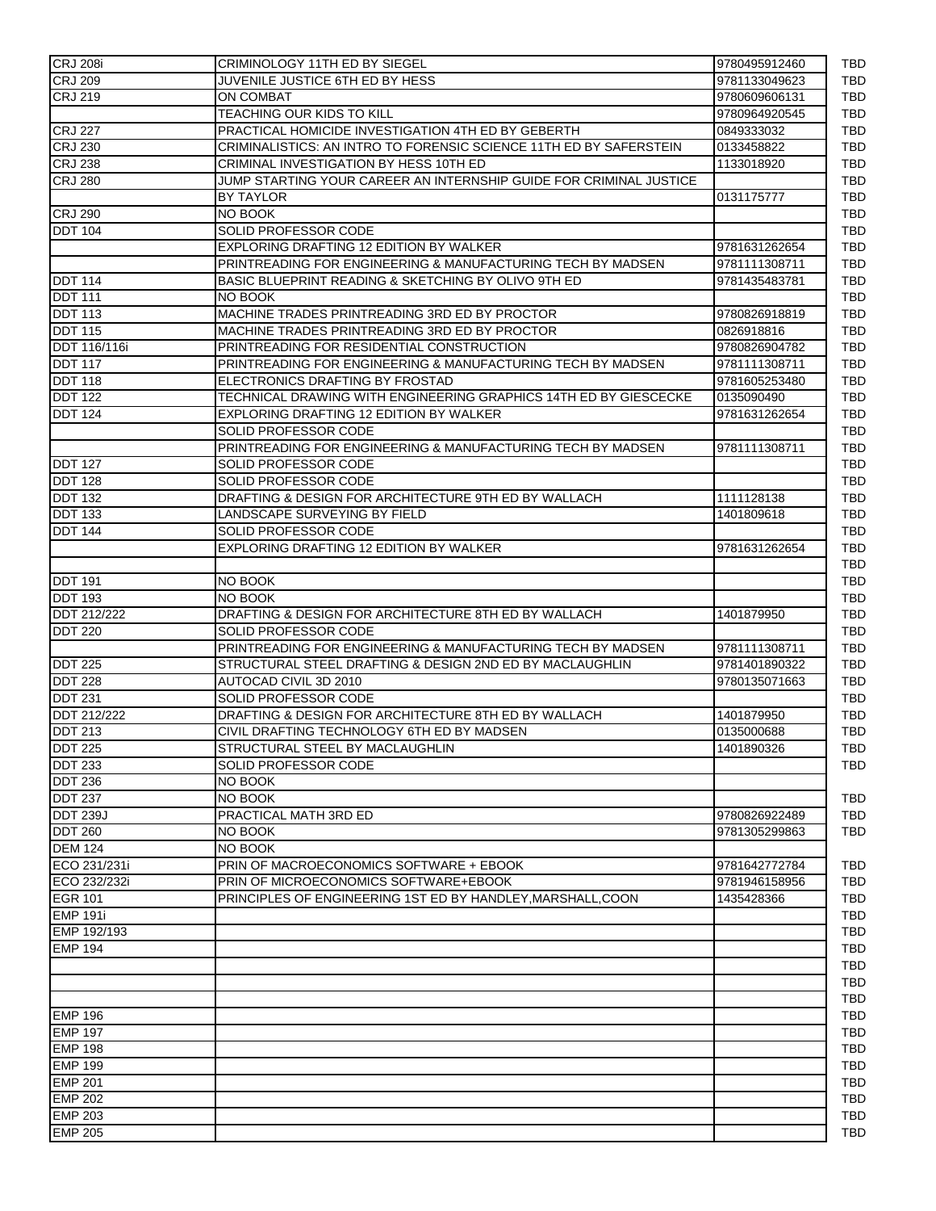| <b>CRJ 208i</b> | <b>CRIMINOLOGY 11TH ED BY SIEGEL</b>                               | 9780495912460 |
|-----------------|--------------------------------------------------------------------|---------------|
| <b>CRJ 209</b>  | JUVENILE JUSTICE 6TH ED BY HESS                                    | 9781133049623 |
| <b>CRJ 219</b>  | ON COMBAT                                                          | 9780609606131 |
|                 | TEACHING OUR KIDS TO KILL                                          | 9780964920545 |
| <b>CRJ 227</b>  | PRACTICAL HOMICIDE INVESTIGATION 4TH ED BY GEBERTH                 | 0849333032    |
| <b>CRJ 230</b>  | CRIMINALISTICS: AN INTRO TO FORENSIC SCIENCE 11TH ED BY SAFERSTEIN | 0133458822    |
| <b>CRJ 238</b>  | CRIMINAL INVESTIGATION BY HESS 10TH ED                             | 1133018920    |
| <b>CRJ 280</b>  | JUMP STARTING YOUR CAREER AN INTERNSHIP GUIDE FOR CRIMINAL JUSTICE |               |
|                 | <b>BY TAYLOR</b>                                                   | 0131175777    |
| <b>CRJ 290</b>  | NO BOOK                                                            |               |
| <b>DDT 104</b>  | SOLID PROFESSOR CODE                                               |               |
|                 | EXPLORING DRAFTING 12 EDITION BY WALKER                            | 9781631262654 |
|                 | PRINTREADING FOR ENGINEERING & MANUFACTURING TECH BY MADSEN        | 9781111308711 |
| <b>DDT 114</b>  | BASIC BLUEPRINT READING & SKETCHING BY OLIVO 9TH ED                | 9781435483781 |
| <b>DDT 111</b>  |                                                                    |               |
|                 | NO BOOK                                                            |               |
| <b>DDT 113</b>  | MACHINE TRADES PRINTREADING 3RD ED BY PROCTOR                      | 9780826918819 |
| <b>DDT 115</b>  | MACHINE TRADES PRINTREADING 3RD ED BY PROCTOR                      | 0826918816    |
| DDT 116/116i    | PRINTREADING FOR RESIDENTIAL CONSTRUCTION                          | 9780826904782 |
| <b>DDT 117</b>  | PRINTREADING FOR ENGINEERING & MANUFACTURING TECH BY MADSEN        | 9781111308711 |
| <b>DDT 118</b>  | ELECTRONICS DRAFTING BY FROSTAD                                    | 9781605253480 |
| <b>DDT 122</b>  | TECHNICAL DRAWING WITH ENGINEERING GRAPHICS 14TH ED BY GIESCECKE   | 0135090490    |
| <b>DDT 124</b>  | EXPLORING DRAFTING 12 EDITION BY WALKER                            | 9781631262654 |
|                 | SOLID PROFESSOR CODE                                               |               |
|                 | PRINTREADING FOR ENGINEERING & MANUFACTURING TECH BY MADSEN        | 9781111308711 |
| <b>DDT 127</b>  | SOLID PROFESSOR CODE                                               |               |
| <b>DDT 128</b>  | SOLID PROFESSOR CODE                                               |               |
| <b>DDT 132</b>  | DRAFTING & DESIGN FOR ARCHITECTURE 9TH ED BY WALLACH               | 1111128138    |
| <b>DDT 133</b>  | LANDSCAPE SURVEYING BY FIELD                                       | 1401809618    |
| <b>DDT 144</b>  | SOLID PROFESSOR CODE                                               |               |
|                 |                                                                    |               |
|                 | EXPLORING DRAFTING 12 EDITION BY WALKER                            | 9781631262654 |
|                 |                                                                    |               |
| <b>DDT 191</b>  | NO BOOK                                                            |               |
| <b>DDT 193</b>  | NO BOOK                                                            |               |
| DDT 212/222     | DRAFTING & DESIGN FOR ARCHITECTURE 8TH ED BY WALLACH               | 1401879950    |
| <b>DDT 220</b>  | SOLID PROFESSOR CODE                                               |               |
|                 | PRINTREADING FOR ENGINEERING & MANUFACTURING TECH BY MADSEN        | 9781111308711 |
| <b>DDT 225</b>  | STRUCTURAL STEEL DRAFTING & DESIGN 2ND ED BY MACLAUGHLIN           | 9781401890322 |
| <b>DDT 228</b>  | AUTOCAD CIVIL 3D 2010                                              | 9780135071663 |
| <b>DDT 231</b>  | <b>SOLID PROFESSOR CODE</b>                                        |               |
| DDT 212/222     | DRAFTING & DESIGN FOR ARCHITECTURE 8TH ED BY WALLACH               | 1401879950    |
| <b>DDT 213</b>  | CIVIL DRAFTING TECHNOLOGY 6TH ED BY MADSEN                         | 0135000688    |
|                 |                                                                    |               |
| <b>DDT 225</b>  | STRUCTURAL STEEL BY MACLAUGHLIN                                    | 1401890326    |
| <b>DDT 233</b>  | SOLID PROFESSOR CODE                                               |               |
| <b>DDT 236</b>  | NO BOOK                                                            |               |
| <b>DDT 237</b>  | NO BOOK                                                            |               |
| <b>DDT 239J</b> | <b>PRACTICAL MATH 3RD ED</b>                                       | 9780826922489 |
| <b>DDT 260</b>  | NO BOOK                                                            | 9781305299863 |
| <b>DEM 124</b>  | NO BOOK                                                            |               |
| ECO 231/231i    | PRIN OF MACROECONOMICS SOFTWARE + EBOOK                            | 9781642772784 |
| ECO 232/232i    | PRIN OF MICROECONOMICS SOFTWARE+EBOOK                              | 9781946158956 |
| <b>EGR 101</b>  | PRINCIPLES OF ENGINEERING 1ST ED BY HANDLEY, MARSHALL, COON        | 1435428366    |
| <b>EMP 191i</b> |                                                                    |               |
| EMP 192/193     |                                                                    |               |
| <b>EMP 194</b>  |                                                                    |               |
|                 |                                                                    |               |
|                 |                                                                    |               |
|                 |                                                                    |               |
|                 |                                                                    |               |
| <b>EMP 196</b>  |                                                                    |               |
| <b>EMP 197</b>  |                                                                    |               |
| <b>EMP 198</b>  |                                                                    |               |
| <b>EMP 199</b>  |                                                                    |               |
| <b>EMP 201</b>  |                                                                    |               |
| <b>EMP 202</b>  |                                                                    |               |
| <b>EMP 203</b>  |                                                                    |               |
| <b>EMP 205</b>  |                                                                    |               |
|                 |                                                                    |               |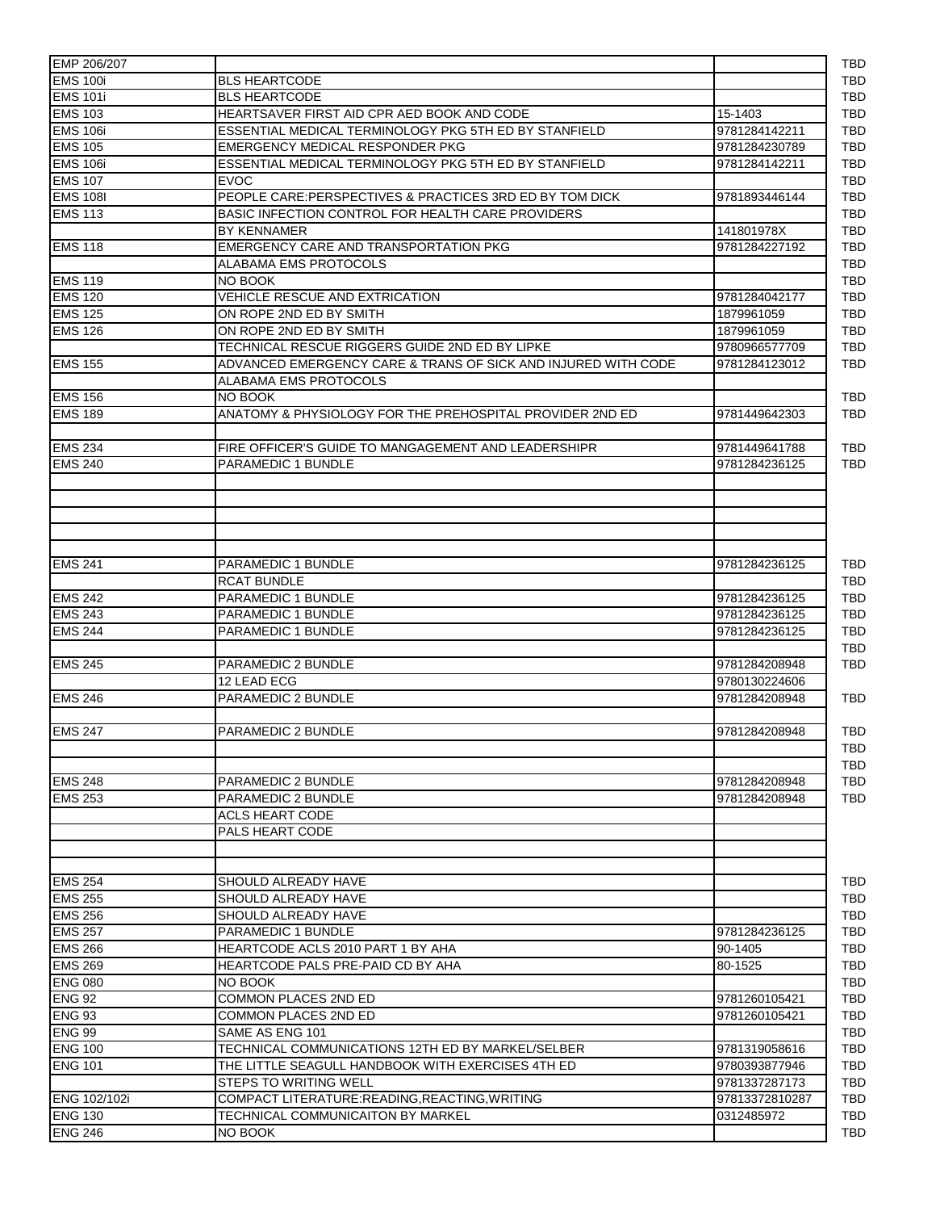| <b>EMS 100i</b><br><b>BLS HEARTCODE</b><br><b>EMS 101i</b><br><b>BLS HEARTCODE</b><br><b>EMS 103</b><br>HEARTSAVER FIRST AID CPR AED BOOK AND CODE<br>15-1403<br><b>EMS 106i</b><br>ESSENTIAL MEDICAL TERMINOLOGY PKG 5TH ED BY STANFIELD<br>9781284142211<br><b>EMS 105</b><br>EMERGENCY MEDICAL RESPONDER PKG<br><b>EMS 106i</b><br>ESSENTIAL MEDICAL TERMINOLOGY PKG 5TH ED BY STANFIELD<br>9781284142211<br><b>EMS 107</b><br><b>EVOC</b><br><b>EMS 108I</b><br>PEOPLE CARE:PERSPECTIVES & PRACTICES 3RD ED BY TOM DICK<br>9781893446144<br><b>EMS 113</b><br>BASIC INFECTION CONTROL FOR HEALTH CARE PROVIDERS<br><b>BY KENNAMER</b><br>141801978X<br><b>EMS 118</b><br>EMERGENCY CARE AND TRANSPORTATION PKG<br>9781284227192<br>ALABAMA EMS PROTOCOLS<br><b>EMS 119</b><br>NO BOOK<br><b>EMS 120</b><br>VEHICLE RESCUE AND EXTRICATION<br>9781284042177<br><b>EMS 125</b><br>ON ROPE 2ND ED BY SMITH<br>1879961059<br><b>EMS 126</b><br>ON ROPE 2ND ED BY SMITH<br>1879961059<br>TECHNICAL RESCUE RIGGERS GUIDE 2ND ED BY LIPKE<br><b>EMS 155</b><br>ADVANCED EMERGENCY CARE & TRANS OF SICK AND INJURED WITH CODE<br>9781284123012<br>ALABAMA EMS PROTOCOLS<br><b>EMS 156</b><br>NO BOOK<br><b>EMS 189</b><br>ANATOMY & PHYSIOLOGY FOR THE PREHOSPITAL PROVIDER 2ND ED<br>9781449642303<br><b>EMS 234</b><br>FIRE OFFICER'S GUIDE TO MANGAGEMENT AND LEADERSHIPR<br><b>EMS 240</b><br>PARAMEDIC 1 BUNDLE<br><b>EMS 241</b><br>PARAMEDIC 1 BUNDLE<br>9781284236125<br><b>RCAT BUNDLE</b><br><b>EMS 242</b><br>PARAMEDIC 1 BUNDLE<br>9781284236125<br><b>EMS 243</b><br>PARAMEDIC 1 BUNDLE<br>9781284236125<br><b>EMS 244</b><br>PARAMEDIC 1 BUNDLE<br>9781284236125<br><b>EMS 245</b><br>PARAMEDIC 2 BUNDLE<br>12 LEAD ECG<br><b>EMS 246</b><br>PARAMEDIC 2 BUNDLE<br>9781284208948<br><b>EMS 247</b><br>PARAMEDIC 2 BUNDLE<br>9781284208948<br><b>EMS 248</b><br>PARAMEDIC 2 BUNDLE<br>9781284208948<br><b>EMS 253</b><br>PARAMEDIC 2 BUNDLE<br>9781284208948<br><b>ACLS HEART CODE</b><br>PALS HEART CODE<br><b>EMS 254</b><br>SHOULD ALREADY HAVE<br><b>EMS 255</b><br>SHOULD ALREADY HAVE<br><b>EMS 256</b><br>SHOULD ALREADY HAVE<br><b>EMS 257</b><br>PARAMEDIC 1 BUNDLE<br><b>EMS 266</b><br>HEARTCODE ACLS 2010 PART 1 BY AHA<br>90-1405<br><b>EMS 269</b><br>HEARTCODE PALS PRE-PAID CD BY AHA<br>80-1525<br><b>ENG 080</b><br>NO BOOK<br><b>ENG 92</b><br><b>COMMON PLACES 2ND ED</b><br>9781260105421<br><b>ENG 93</b><br><b>COMMON PLACES 2ND ED</b><br>9781260105421<br><b>ENG 99</b><br>SAME AS ENG 101<br><b>ENG 100</b><br>TECHNICAL COMMUNICATIONS 12TH ED BY MARKEL/SELBER<br>9781319058616<br><b>ENG 101</b><br>THE LITTLE SEAGULL HANDBOOK WITH EXERCISES 4TH ED<br>9780393877946<br>STEPS TO WRITING WELL<br>ENG 102/102i<br>COMPACT LITERATURE:READING,REACTING,WRITING<br><b>ENG 130</b><br>TECHNICAL COMMUNICAITON BY MARKEL<br>0312485972 | EMP 206/207 |                |
|---------------------------------------------------------------------------------------------------------------------------------------------------------------------------------------------------------------------------------------------------------------------------------------------------------------------------------------------------------------------------------------------------------------------------------------------------------------------------------------------------------------------------------------------------------------------------------------------------------------------------------------------------------------------------------------------------------------------------------------------------------------------------------------------------------------------------------------------------------------------------------------------------------------------------------------------------------------------------------------------------------------------------------------------------------------------------------------------------------------------------------------------------------------------------------------------------------------------------------------------------------------------------------------------------------------------------------------------------------------------------------------------------------------------------------------------------------------------------------------------------------------------------------------------------------------------------------------------------------------------------------------------------------------------------------------------------------------------------------------------------------------------------------------------------------------------------------------------------------------------------------------------------------------------------------------------------------------------------------------------------------------------------------------------------------------------------------------------------------------------------------------------------------------------------------------------------------------------------------------------------------------------------------------------------------------------------------------------------------------------------------------------------------------------------------------------------------------------------------------------------------------------------------------------------------------------------------------------------------------------------------------------------------------------------------------------------------------------------------------------------------------------------------------------------------------------------------------------------------------------------|-------------|----------------|
|                                                                                                                                                                                                                                                                                                                                                                                                                                                                                                                                                                                                                                                                                                                                                                                                                                                                                                                                                                                                                                                                                                                                                                                                                                                                                                                                                                                                                                                                                                                                                                                                                                                                                                                                                                                                                                                                                                                                                                                                                                                                                                                                                                                                                                                                                                                                                                                                                                                                                                                                                                                                                                                                                                                                                                                                                                                                           |             |                |
|                                                                                                                                                                                                                                                                                                                                                                                                                                                                                                                                                                                                                                                                                                                                                                                                                                                                                                                                                                                                                                                                                                                                                                                                                                                                                                                                                                                                                                                                                                                                                                                                                                                                                                                                                                                                                                                                                                                                                                                                                                                                                                                                                                                                                                                                                                                                                                                                                                                                                                                                                                                                                                                                                                                                                                                                                                                                           |             |                |
|                                                                                                                                                                                                                                                                                                                                                                                                                                                                                                                                                                                                                                                                                                                                                                                                                                                                                                                                                                                                                                                                                                                                                                                                                                                                                                                                                                                                                                                                                                                                                                                                                                                                                                                                                                                                                                                                                                                                                                                                                                                                                                                                                                                                                                                                                                                                                                                                                                                                                                                                                                                                                                                                                                                                                                                                                                                                           |             |                |
|                                                                                                                                                                                                                                                                                                                                                                                                                                                                                                                                                                                                                                                                                                                                                                                                                                                                                                                                                                                                                                                                                                                                                                                                                                                                                                                                                                                                                                                                                                                                                                                                                                                                                                                                                                                                                                                                                                                                                                                                                                                                                                                                                                                                                                                                                                                                                                                                                                                                                                                                                                                                                                                                                                                                                                                                                                                                           |             |                |
|                                                                                                                                                                                                                                                                                                                                                                                                                                                                                                                                                                                                                                                                                                                                                                                                                                                                                                                                                                                                                                                                                                                                                                                                                                                                                                                                                                                                                                                                                                                                                                                                                                                                                                                                                                                                                                                                                                                                                                                                                                                                                                                                                                                                                                                                                                                                                                                                                                                                                                                                                                                                                                                                                                                                                                                                                                                                           |             | 9781284230789  |
|                                                                                                                                                                                                                                                                                                                                                                                                                                                                                                                                                                                                                                                                                                                                                                                                                                                                                                                                                                                                                                                                                                                                                                                                                                                                                                                                                                                                                                                                                                                                                                                                                                                                                                                                                                                                                                                                                                                                                                                                                                                                                                                                                                                                                                                                                                                                                                                                                                                                                                                                                                                                                                                                                                                                                                                                                                                                           |             |                |
|                                                                                                                                                                                                                                                                                                                                                                                                                                                                                                                                                                                                                                                                                                                                                                                                                                                                                                                                                                                                                                                                                                                                                                                                                                                                                                                                                                                                                                                                                                                                                                                                                                                                                                                                                                                                                                                                                                                                                                                                                                                                                                                                                                                                                                                                                                                                                                                                                                                                                                                                                                                                                                                                                                                                                                                                                                                                           |             |                |
|                                                                                                                                                                                                                                                                                                                                                                                                                                                                                                                                                                                                                                                                                                                                                                                                                                                                                                                                                                                                                                                                                                                                                                                                                                                                                                                                                                                                                                                                                                                                                                                                                                                                                                                                                                                                                                                                                                                                                                                                                                                                                                                                                                                                                                                                                                                                                                                                                                                                                                                                                                                                                                                                                                                                                                                                                                                                           |             |                |
|                                                                                                                                                                                                                                                                                                                                                                                                                                                                                                                                                                                                                                                                                                                                                                                                                                                                                                                                                                                                                                                                                                                                                                                                                                                                                                                                                                                                                                                                                                                                                                                                                                                                                                                                                                                                                                                                                                                                                                                                                                                                                                                                                                                                                                                                                                                                                                                                                                                                                                                                                                                                                                                                                                                                                                                                                                                                           |             |                |
|                                                                                                                                                                                                                                                                                                                                                                                                                                                                                                                                                                                                                                                                                                                                                                                                                                                                                                                                                                                                                                                                                                                                                                                                                                                                                                                                                                                                                                                                                                                                                                                                                                                                                                                                                                                                                                                                                                                                                                                                                                                                                                                                                                                                                                                                                                                                                                                                                                                                                                                                                                                                                                                                                                                                                                                                                                                                           |             |                |
|                                                                                                                                                                                                                                                                                                                                                                                                                                                                                                                                                                                                                                                                                                                                                                                                                                                                                                                                                                                                                                                                                                                                                                                                                                                                                                                                                                                                                                                                                                                                                                                                                                                                                                                                                                                                                                                                                                                                                                                                                                                                                                                                                                                                                                                                                                                                                                                                                                                                                                                                                                                                                                                                                                                                                                                                                                                                           |             |                |
|                                                                                                                                                                                                                                                                                                                                                                                                                                                                                                                                                                                                                                                                                                                                                                                                                                                                                                                                                                                                                                                                                                                                                                                                                                                                                                                                                                                                                                                                                                                                                                                                                                                                                                                                                                                                                                                                                                                                                                                                                                                                                                                                                                                                                                                                                                                                                                                                                                                                                                                                                                                                                                                                                                                                                                                                                                                                           |             |                |
|                                                                                                                                                                                                                                                                                                                                                                                                                                                                                                                                                                                                                                                                                                                                                                                                                                                                                                                                                                                                                                                                                                                                                                                                                                                                                                                                                                                                                                                                                                                                                                                                                                                                                                                                                                                                                                                                                                                                                                                                                                                                                                                                                                                                                                                                                                                                                                                                                                                                                                                                                                                                                                                                                                                                                                                                                                                                           |             |                |
|                                                                                                                                                                                                                                                                                                                                                                                                                                                                                                                                                                                                                                                                                                                                                                                                                                                                                                                                                                                                                                                                                                                                                                                                                                                                                                                                                                                                                                                                                                                                                                                                                                                                                                                                                                                                                                                                                                                                                                                                                                                                                                                                                                                                                                                                                                                                                                                                                                                                                                                                                                                                                                                                                                                                                                                                                                                                           |             |                |
|                                                                                                                                                                                                                                                                                                                                                                                                                                                                                                                                                                                                                                                                                                                                                                                                                                                                                                                                                                                                                                                                                                                                                                                                                                                                                                                                                                                                                                                                                                                                                                                                                                                                                                                                                                                                                                                                                                                                                                                                                                                                                                                                                                                                                                                                                                                                                                                                                                                                                                                                                                                                                                                                                                                                                                                                                                                                           |             |                |
|                                                                                                                                                                                                                                                                                                                                                                                                                                                                                                                                                                                                                                                                                                                                                                                                                                                                                                                                                                                                                                                                                                                                                                                                                                                                                                                                                                                                                                                                                                                                                                                                                                                                                                                                                                                                                                                                                                                                                                                                                                                                                                                                                                                                                                                                                                                                                                                                                                                                                                                                                                                                                                                                                                                                                                                                                                                                           |             |                |
|                                                                                                                                                                                                                                                                                                                                                                                                                                                                                                                                                                                                                                                                                                                                                                                                                                                                                                                                                                                                                                                                                                                                                                                                                                                                                                                                                                                                                                                                                                                                                                                                                                                                                                                                                                                                                                                                                                                                                                                                                                                                                                                                                                                                                                                                                                                                                                                                                                                                                                                                                                                                                                                                                                                                                                                                                                                                           |             |                |
|                                                                                                                                                                                                                                                                                                                                                                                                                                                                                                                                                                                                                                                                                                                                                                                                                                                                                                                                                                                                                                                                                                                                                                                                                                                                                                                                                                                                                                                                                                                                                                                                                                                                                                                                                                                                                                                                                                                                                                                                                                                                                                                                                                                                                                                                                                                                                                                                                                                                                                                                                                                                                                                                                                                                                                                                                                                                           |             | 9780966577709  |
|                                                                                                                                                                                                                                                                                                                                                                                                                                                                                                                                                                                                                                                                                                                                                                                                                                                                                                                                                                                                                                                                                                                                                                                                                                                                                                                                                                                                                                                                                                                                                                                                                                                                                                                                                                                                                                                                                                                                                                                                                                                                                                                                                                                                                                                                                                                                                                                                                                                                                                                                                                                                                                                                                                                                                                                                                                                                           |             |                |
|                                                                                                                                                                                                                                                                                                                                                                                                                                                                                                                                                                                                                                                                                                                                                                                                                                                                                                                                                                                                                                                                                                                                                                                                                                                                                                                                                                                                                                                                                                                                                                                                                                                                                                                                                                                                                                                                                                                                                                                                                                                                                                                                                                                                                                                                                                                                                                                                                                                                                                                                                                                                                                                                                                                                                                                                                                                                           |             |                |
|                                                                                                                                                                                                                                                                                                                                                                                                                                                                                                                                                                                                                                                                                                                                                                                                                                                                                                                                                                                                                                                                                                                                                                                                                                                                                                                                                                                                                                                                                                                                                                                                                                                                                                                                                                                                                                                                                                                                                                                                                                                                                                                                                                                                                                                                                                                                                                                                                                                                                                                                                                                                                                                                                                                                                                                                                                                                           |             |                |
|                                                                                                                                                                                                                                                                                                                                                                                                                                                                                                                                                                                                                                                                                                                                                                                                                                                                                                                                                                                                                                                                                                                                                                                                                                                                                                                                                                                                                                                                                                                                                                                                                                                                                                                                                                                                                                                                                                                                                                                                                                                                                                                                                                                                                                                                                                                                                                                                                                                                                                                                                                                                                                                                                                                                                                                                                                                                           |             |                |
|                                                                                                                                                                                                                                                                                                                                                                                                                                                                                                                                                                                                                                                                                                                                                                                                                                                                                                                                                                                                                                                                                                                                                                                                                                                                                                                                                                                                                                                                                                                                                                                                                                                                                                                                                                                                                                                                                                                                                                                                                                                                                                                                                                                                                                                                                                                                                                                                                                                                                                                                                                                                                                                                                                                                                                                                                                                                           |             |                |
|                                                                                                                                                                                                                                                                                                                                                                                                                                                                                                                                                                                                                                                                                                                                                                                                                                                                                                                                                                                                                                                                                                                                                                                                                                                                                                                                                                                                                                                                                                                                                                                                                                                                                                                                                                                                                                                                                                                                                                                                                                                                                                                                                                                                                                                                                                                                                                                                                                                                                                                                                                                                                                                                                                                                                                                                                                                                           |             | 9781449641788  |
|                                                                                                                                                                                                                                                                                                                                                                                                                                                                                                                                                                                                                                                                                                                                                                                                                                                                                                                                                                                                                                                                                                                                                                                                                                                                                                                                                                                                                                                                                                                                                                                                                                                                                                                                                                                                                                                                                                                                                                                                                                                                                                                                                                                                                                                                                                                                                                                                                                                                                                                                                                                                                                                                                                                                                                                                                                                                           |             | 9781284236125  |
|                                                                                                                                                                                                                                                                                                                                                                                                                                                                                                                                                                                                                                                                                                                                                                                                                                                                                                                                                                                                                                                                                                                                                                                                                                                                                                                                                                                                                                                                                                                                                                                                                                                                                                                                                                                                                                                                                                                                                                                                                                                                                                                                                                                                                                                                                                                                                                                                                                                                                                                                                                                                                                                                                                                                                                                                                                                                           |             |                |
|                                                                                                                                                                                                                                                                                                                                                                                                                                                                                                                                                                                                                                                                                                                                                                                                                                                                                                                                                                                                                                                                                                                                                                                                                                                                                                                                                                                                                                                                                                                                                                                                                                                                                                                                                                                                                                                                                                                                                                                                                                                                                                                                                                                                                                                                                                                                                                                                                                                                                                                                                                                                                                                                                                                                                                                                                                                                           |             |                |
|                                                                                                                                                                                                                                                                                                                                                                                                                                                                                                                                                                                                                                                                                                                                                                                                                                                                                                                                                                                                                                                                                                                                                                                                                                                                                                                                                                                                                                                                                                                                                                                                                                                                                                                                                                                                                                                                                                                                                                                                                                                                                                                                                                                                                                                                                                                                                                                                                                                                                                                                                                                                                                                                                                                                                                                                                                                                           |             |                |
|                                                                                                                                                                                                                                                                                                                                                                                                                                                                                                                                                                                                                                                                                                                                                                                                                                                                                                                                                                                                                                                                                                                                                                                                                                                                                                                                                                                                                                                                                                                                                                                                                                                                                                                                                                                                                                                                                                                                                                                                                                                                                                                                                                                                                                                                                                                                                                                                                                                                                                                                                                                                                                                                                                                                                                                                                                                                           |             |                |
|                                                                                                                                                                                                                                                                                                                                                                                                                                                                                                                                                                                                                                                                                                                                                                                                                                                                                                                                                                                                                                                                                                                                                                                                                                                                                                                                                                                                                                                                                                                                                                                                                                                                                                                                                                                                                                                                                                                                                                                                                                                                                                                                                                                                                                                                                                                                                                                                                                                                                                                                                                                                                                                                                                                                                                                                                                                                           |             |                |
|                                                                                                                                                                                                                                                                                                                                                                                                                                                                                                                                                                                                                                                                                                                                                                                                                                                                                                                                                                                                                                                                                                                                                                                                                                                                                                                                                                                                                                                                                                                                                                                                                                                                                                                                                                                                                                                                                                                                                                                                                                                                                                                                                                                                                                                                                                                                                                                                                                                                                                                                                                                                                                                                                                                                                                                                                                                                           |             |                |
|                                                                                                                                                                                                                                                                                                                                                                                                                                                                                                                                                                                                                                                                                                                                                                                                                                                                                                                                                                                                                                                                                                                                                                                                                                                                                                                                                                                                                                                                                                                                                                                                                                                                                                                                                                                                                                                                                                                                                                                                                                                                                                                                                                                                                                                                                                                                                                                                                                                                                                                                                                                                                                                                                                                                                                                                                                                                           |             |                |
|                                                                                                                                                                                                                                                                                                                                                                                                                                                                                                                                                                                                                                                                                                                                                                                                                                                                                                                                                                                                                                                                                                                                                                                                                                                                                                                                                                                                                                                                                                                                                                                                                                                                                                                                                                                                                                                                                                                                                                                                                                                                                                                                                                                                                                                                                                                                                                                                                                                                                                                                                                                                                                                                                                                                                                                                                                                                           |             |                |
|                                                                                                                                                                                                                                                                                                                                                                                                                                                                                                                                                                                                                                                                                                                                                                                                                                                                                                                                                                                                                                                                                                                                                                                                                                                                                                                                                                                                                                                                                                                                                                                                                                                                                                                                                                                                                                                                                                                                                                                                                                                                                                                                                                                                                                                                                                                                                                                                                                                                                                                                                                                                                                                                                                                                                                                                                                                                           |             |                |
|                                                                                                                                                                                                                                                                                                                                                                                                                                                                                                                                                                                                                                                                                                                                                                                                                                                                                                                                                                                                                                                                                                                                                                                                                                                                                                                                                                                                                                                                                                                                                                                                                                                                                                                                                                                                                                                                                                                                                                                                                                                                                                                                                                                                                                                                                                                                                                                                                                                                                                                                                                                                                                                                                                                                                                                                                                                                           |             |                |
|                                                                                                                                                                                                                                                                                                                                                                                                                                                                                                                                                                                                                                                                                                                                                                                                                                                                                                                                                                                                                                                                                                                                                                                                                                                                                                                                                                                                                                                                                                                                                                                                                                                                                                                                                                                                                                                                                                                                                                                                                                                                                                                                                                                                                                                                                                                                                                                                                                                                                                                                                                                                                                                                                                                                                                                                                                                                           |             |                |
|                                                                                                                                                                                                                                                                                                                                                                                                                                                                                                                                                                                                                                                                                                                                                                                                                                                                                                                                                                                                                                                                                                                                                                                                                                                                                                                                                                                                                                                                                                                                                                                                                                                                                                                                                                                                                                                                                                                                                                                                                                                                                                                                                                                                                                                                                                                                                                                                                                                                                                                                                                                                                                                                                                                                                                                                                                                                           |             |                |
|                                                                                                                                                                                                                                                                                                                                                                                                                                                                                                                                                                                                                                                                                                                                                                                                                                                                                                                                                                                                                                                                                                                                                                                                                                                                                                                                                                                                                                                                                                                                                                                                                                                                                                                                                                                                                                                                                                                                                                                                                                                                                                                                                                                                                                                                                                                                                                                                                                                                                                                                                                                                                                                                                                                                                                                                                                                                           |             | 9781284208948  |
|                                                                                                                                                                                                                                                                                                                                                                                                                                                                                                                                                                                                                                                                                                                                                                                                                                                                                                                                                                                                                                                                                                                                                                                                                                                                                                                                                                                                                                                                                                                                                                                                                                                                                                                                                                                                                                                                                                                                                                                                                                                                                                                                                                                                                                                                                                                                                                                                                                                                                                                                                                                                                                                                                                                                                                                                                                                                           |             | 9780130224606  |
|                                                                                                                                                                                                                                                                                                                                                                                                                                                                                                                                                                                                                                                                                                                                                                                                                                                                                                                                                                                                                                                                                                                                                                                                                                                                                                                                                                                                                                                                                                                                                                                                                                                                                                                                                                                                                                                                                                                                                                                                                                                                                                                                                                                                                                                                                                                                                                                                                                                                                                                                                                                                                                                                                                                                                                                                                                                                           |             |                |
|                                                                                                                                                                                                                                                                                                                                                                                                                                                                                                                                                                                                                                                                                                                                                                                                                                                                                                                                                                                                                                                                                                                                                                                                                                                                                                                                                                                                                                                                                                                                                                                                                                                                                                                                                                                                                                                                                                                                                                                                                                                                                                                                                                                                                                                                                                                                                                                                                                                                                                                                                                                                                                                                                                                                                                                                                                                                           |             |                |
|                                                                                                                                                                                                                                                                                                                                                                                                                                                                                                                                                                                                                                                                                                                                                                                                                                                                                                                                                                                                                                                                                                                                                                                                                                                                                                                                                                                                                                                                                                                                                                                                                                                                                                                                                                                                                                                                                                                                                                                                                                                                                                                                                                                                                                                                                                                                                                                                                                                                                                                                                                                                                                                                                                                                                                                                                                                                           |             |                |
|                                                                                                                                                                                                                                                                                                                                                                                                                                                                                                                                                                                                                                                                                                                                                                                                                                                                                                                                                                                                                                                                                                                                                                                                                                                                                                                                                                                                                                                                                                                                                                                                                                                                                                                                                                                                                                                                                                                                                                                                                                                                                                                                                                                                                                                                                                                                                                                                                                                                                                                                                                                                                                                                                                                                                                                                                                                                           |             |                |
|                                                                                                                                                                                                                                                                                                                                                                                                                                                                                                                                                                                                                                                                                                                                                                                                                                                                                                                                                                                                                                                                                                                                                                                                                                                                                                                                                                                                                                                                                                                                                                                                                                                                                                                                                                                                                                                                                                                                                                                                                                                                                                                                                                                                                                                                                                                                                                                                                                                                                                                                                                                                                                                                                                                                                                                                                                                                           |             |                |
|                                                                                                                                                                                                                                                                                                                                                                                                                                                                                                                                                                                                                                                                                                                                                                                                                                                                                                                                                                                                                                                                                                                                                                                                                                                                                                                                                                                                                                                                                                                                                                                                                                                                                                                                                                                                                                                                                                                                                                                                                                                                                                                                                                                                                                                                                                                                                                                                                                                                                                                                                                                                                                                                                                                                                                                                                                                                           |             |                |
|                                                                                                                                                                                                                                                                                                                                                                                                                                                                                                                                                                                                                                                                                                                                                                                                                                                                                                                                                                                                                                                                                                                                                                                                                                                                                                                                                                                                                                                                                                                                                                                                                                                                                                                                                                                                                                                                                                                                                                                                                                                                                                                                                                                                                                                                                                                                                                                                                                                                                                                                                                                                                                                                                                                                                                                                                                                                           |             |                |
|                                                                                                                                                                                                                                                                                                                                                                                                                                                                                                                                                                                                                                                                                                                                                                                                                                                                                                                                                                                                                                                                                                                                                                                                                                                                                                                                                                                                                                                                                                                                                                                                                                                                                                                                                                                                                                                                                                                                                                                                                                                                                                                                                                                                                                                                                                                                                                                                                                                                                                                                                                                                                                                                                                                                                                                                                                                                           |             |                |
|                                                                                                                                                                                                                                                                                                                                                                                                                                                                                                                                                                                                                                                                                                                                                                                                                                                                                                                                                                                                                                                                                                                                                                                                                                                                                                                                                                                                                                                                                                                                                                                                                                                                                                                                                                                                                                                                                                                                                                                                                                                                                                                                                                                                                                                                                                                                                                                                                                                                                                                                                                                                                                                                                                                                                                                                                                                                           |             |                |
|                                                                                                                                                                                                                                                                                                                                                                                                                                                                                                                                                                                                                                                                                                                                                                                                                                                                                                                                                                                                                                                                                                                                                                                                                                                                                                                                                                                                                                                                                                                                                                                                                                                                                                                                                                                                                                                                                                                                                                                                                                                                                                                                                                                                                                                                                                                                                                                                                                                                                                                                                                                                                                                                                                                                                                                                                                                                           |             |                |
|                                                                                                                                                                                                                                                                                                                                                                                                                                                                                                                                                                                                                                                                                                                                                                                                                                                                                                                                                                                                                                                                                                                                                                                                                                                                                                                                                                                                                                                                                                                                                                                                                                                                                                                                                                                                                                                                                                                                                                                                                                                                                                                                                                                                                                                                                                                                                                                                                                                                                                                                                                                                                                                                                                                                                                                                                                                                           |             |                |
|                                                                                                                                                                                                                                                                                                                                                                                                                                                                                                                                                                                                                                                                                                                                                                                                                                                                                                                                                                                                                                                                                                                                                                                                                                                                                                                                                                                                                                                                                                                                                                                                                                                                                                                                                                                                                                                                                                                                                                                                                                                                                                                                                                                                                                                                                                                                                                                                                                                                                                                                                                                                                                                                                                                                                                                                                                                                           |             |                |
|                                                                                                                                                                                                                                                                                                                                                                                                                                                                                                                                                                                                                                                                                                                                                                                                                                                                                                                                                                                                                                                                                                                                                                                                                                                                                                                                                                                                                                                                                                                                                                                                                                                                                                                                                                                                                                                                                                                                                                                                                                                                                                                                                                                                                                                                                                                                                                                                                                                                                                                                                                                                                                                                                                                                                                                                                                                                           |             |                |
|                                                                                                                                                                                                                                                                                                                                                                                                                                                                                                                                                                                                                                                                                                                                                                                                                                                                                                                                                                                                                                                                                                                                                                                                                                                                                                                                                                                                                                                                                                                                                                                                                                                                                                                                                                                                                                                                                                                                                                                                                                                                                                                                                                                                                                                                                                                                                                                                                                                                                                                                                                                                                                                                                                                                                                                                                                                                           |             |                |
|                                                                                                                                                                                                                                                                                                                                                                                                                                                                                                                                                                                                                                                                                                                                                                                                                                                                                                                                                                                                                                                                                                                                                                                                                                                                                                                                                                                                                                                                                                                                                                                                                                                                                                                                                                                                                                                                                                                                                                                                                                                                                                                                                                                                                                                                                                                                                                                                                                                                                                                                                                                                                                                                                                                                                                                                                                                                           |             |                |
|                                                                                                                                                                                                                                                                                                                                                                                                                                                                                                                                                                                                                                                                                                                                                                                                                                                                                                                                                                                                                                                                                                                                                                                                                                                                                                                                                                                                                                                                                                                                                                                                                                                                                                                                                                                                                                                                                                                                                                                                                                                                                                                                                                                                                                                                                                                                                                                                                                                                                                                                                                                                                                                                                                                                                                                                                                                                           |             | 9781284236125  |
|                                                                                                                                                                                                                                                                                                                                                                                                                                                                                                                                                                                                                                                                                                                                                                                                                                                                                                                                                                                                                                                                                                                                                                                                                                                                                                                                                                                                                                                                                                                                                                                                                                                                                                                                                                                                                                                                                                                                                                                                                                                                                                                                                                                                                                                                                                                                                                                                                                                                                                                                                                                                                                                                                                                                                                                                                                                                           |             |                |
|                                                                                                                                                                                                                                                                                                                                                                                                                                                                                                                                                                                                                                                                                                                                                                                                                                                                                                                                                                                                                                                                                                                                                                                                                                                                                                                                                                                                                                                                                                                                                                                                                                                                                                                                                                                                                                                                                                                                                                                                                                                                                                                                                                                                                                                                                                                                                                                                                                                                                                                                                                                                                                                                                                                                                                                                                                                                           |             |                |
|                                                                                                                                                                                                                                                                                                                                                                                                                                                                                                                                                                                                                                                                                                                                                                                                                                                                                                                                                                                                                                                                                                                                                                                                                                                                                                                                                                                                                                                                                                                                                                                                                                                                                                                                                                                                                                                                                                                                                                                                                                                                                                                                                                                                                                                                                                                                                                                                                                                                                                                                                                                                                                                                                                                                                                                                                                                                           |             |                |
|                                                                                                                                                                                                                                                                                                                                                                                                                                                                                                                                                                                                                                                                                                                                                                                                                                                                                                                                                                                                                                                                                                                                                                                                                                                                                                                                                                                                                                                                                                                                                                                                                                                                                                                                                                                                                                                                                                                                                                                                                                                                                                                                                                                                                                                                                                                                                                                                                                                                                                                                                                                                                                                                                                                                                                                                                                                                           |             |                |
|                                                                                                                                                                                                                                                                                                                                                                                                                                                                                                                                                                                                                                                                                                                                                                                                                                                                                                                                                                                                                                                                                                                                                                                                                                                                                                                                                                                                                                                                                                                                                                                                                                                                                                                                                                                                                                                                                                                                                                                                                                                                                                                                                                                                                                                                                                                                                                                                                                                                                                                                                                                                                                                                                                                                                                                                                                                                           |             |                |
|                                                                                                                                                                                                                                                                                                                                                                                                                                                                                                                                                                                                                                                                                                                                                                                                                                                                                                                                                                                                                                                                                                                                                                                                                                                                                                                                                                                                                                                                                                                                                                                                                                                                                                                                                                                                                                                                                                                                                                                                                                                                                                                                                                                                                                                                                                                                                                                                                                                                                                                                                                                                                                                                                                                                                                                                                                                                           |             |                |
|                                                                                                                                                                                                                                                                                                                                                                                                                                                                                                                                                                                                                                                                                                                                                                                                                                                                                                                                                                                                                                                                                                                                                                                                                                                                                                                                                                                                                                                                                                                                                                                                                                                                                                                                                                                                                                                                                                                                                                                                                                                                                                                                                                                                                                                                                                                                                                                                                                                                                                                                                                                                                                                                                                                                                                                                                                                                           |             |                |
|                                                                                                                                                                                                                                                                                                                                                                                                                                                                                                                                                                                                                                                                                                                                                                                                                                                                                                                                                                                                                                                                                                                                                                                                                                                                                                                                                                                                                                                                                                                                                                                                                                                                                                                                                                                                                                                                                                                                                                                                                                                                                                                                                                                                                                                                                                                                                                                                                                                                                                                                                                                                                                                                                                                                                                                                                                                                           |             |                |
|                                                                                                                                                                                                                                                                                                                                                                                                                                                                                                                                                                                                                                                                                                                                                                                                                                                                                                                                                                                                                                                                                                                                                                                                                                                                                                                                                                                                                                                                                                                                                                                                                                                                                                                                                                                                                                                                                                                                                                                                                                                                                                                                                                                                                                                                                                                                                                                                                                                                                                                                                                                                                                                                                                                                                                                                                                                                           |             |                |
|                                                                                                                                                                                                                                                                                                                                                                                                                                                                                                                                                                                                                                                                                                                                                                                                                                                                                                                                                                                                                                                                                                                                                                                                                                                                                                                                                                                                                                                                                                                                                                                                                                                                                                                                                                                                                                                                                                                                                                                                                                                                                                                                                                                                                                                                                                                                                                                                                                                                                                                                                                                                                                                                                                                                                                                                                                                                           |             | 9781337287173  |
|                                                                                                                                                                                                                                                                                                                                                                                                                                                                                                                                                                                                                                                                                                                                                                                                                                                                                                                                                                                                                                                                                                                                                                                                                                                                                                                                                                                                                                                                                                                                                                                                                                                                                                                                                                                                                                                                                                                                                                                                                                                                                                                                                                                                                                                                                                                                                                                                                                                                                                                                                                                                                                                                                                                                                                                                                                                                           |             | 97813372810287 |
|                                                                                                                                                                                                                                                                                                                                                                                                                                                                                                                                                                                                                                                                                                                                                                                                                                                                                                                                                                                                                                                                                                                                                                                                                                                                                                                                                                                                                                                                                                                                                                                                                                                                                                                                                                                                                                                                                                                                                                                                                                                                                                                                                                                                                                                                                                                                                                                                                                                                                                                                                                                                                                                                                                                                                                                                                                                                           |             |                |
| <b>ENG 246</b><br>NO BOOK                                                                                                                                                                                                                                                                                                                                                                                                                                                                                                                                                                                                                                                                                                                                                                                                                                                                                                                                                                                                                                                                                                                                                                                                                                                                                                                                                                                                                                                                                                                                                                                                                                                                                                                                                                                                                                                                                                                                                                                                                                                                                                                                                                                                                                                                                                                                                                                                                                                                                                                                                                                                                                                                                                                                                                                                                                                 |             |                |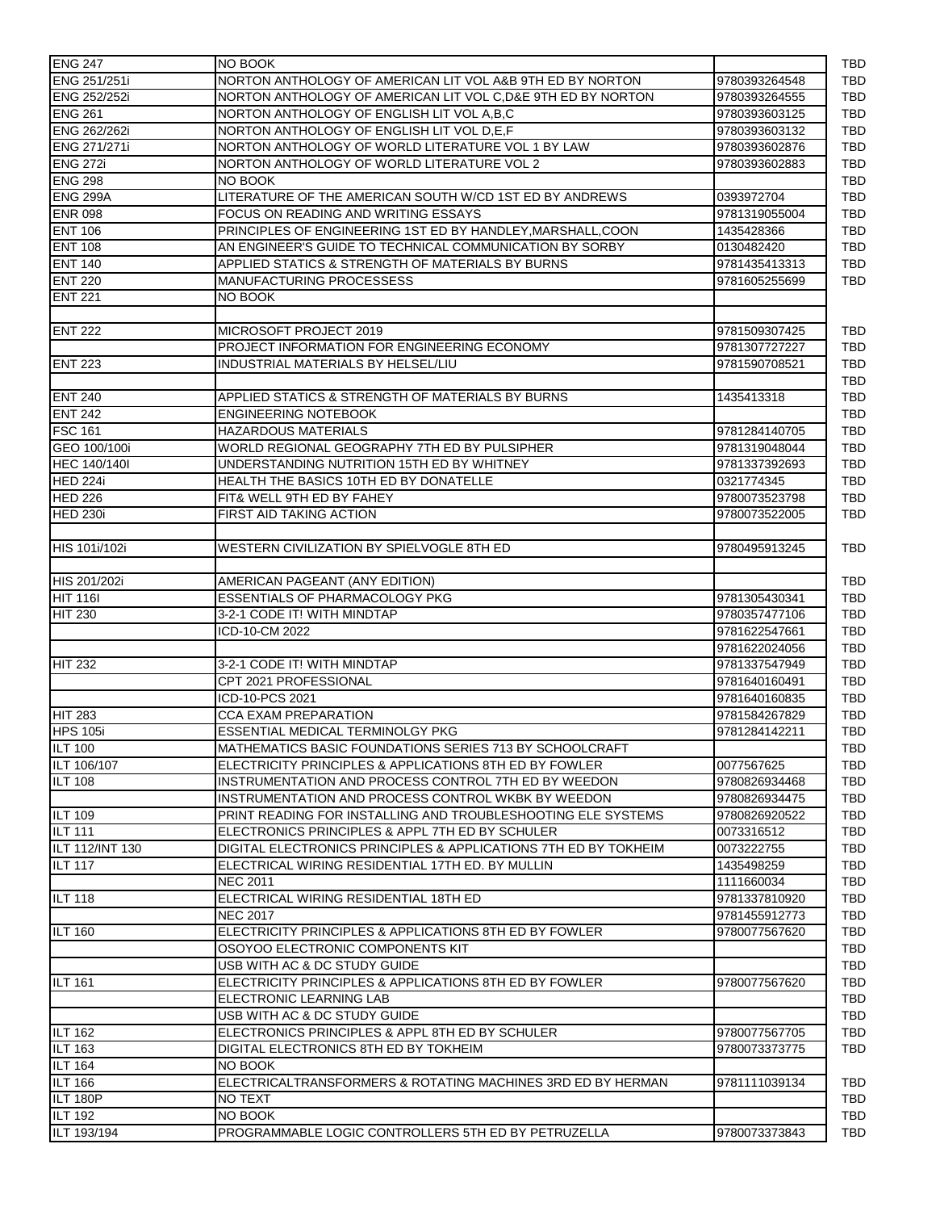| <b>ENG 247</b>                    | NO BOOK                                                         |               |
|-----------------------------------|-----------------------------------------------------------------|---------------|
| ENG 251/251i                      | NORTON ANTHOLOGY OF AMERICAN LIT VOL A&B 9TH ED BY NORTON       | 9780393264548 |
| ENG 252/252i                      | NORTON ANTHOLOGY OF AMERICAN LIT VOL C, D&E 9TH ED BY NORTON    | 9780393264555 |
| <b>ENG 261</b>                    | NORTON ANTHOLOGY OF ENGLISH LIT VOL A.B.C                       | 9780393603125 |
| ENG 262/262i                      | NORTON ANTHOLOGY OF ENGLISH LIT VOL D.E.F                       | 9780393603132 |
| ENG 271/271i                      | NORTON ANTHOLOGY OF WORLD LITERATURE VOL 1 BY LAW               | 9780393602876 |
| <b>ENG 272i</b>                   | NORTON ANTHOLOGY OF WORLD LITERATURE VOL 2                      | 9780393602883 |
| <b>ENG 298</b>                    | NO BOOK                                                         |               |
| <b>ENG 299A</b>                   | LITERATURE OF THE AMERICAN SOUTH W/CD 1ST ED BY ANDREWS         | 0393972704    |
| <b>ENR 098</b>                    | FOCUS ON READING AND WRITING ESSAYS                             | 9781319055004 |
| <b>ENT 106</b>                    | PRINCIPLES OF ENGINEERING 1ST ED BY HANDLEY, MARSHALL, COON     | 1435428366    |
| <b>ENT 108</b>                    | AN ENGINEER'S GUIDE TO TECHNICAL COMMUNICATION BY SORBY         | 0130482420    |
| <b>ENT 140</b>                    | APPLIED STATICS & STRENGTH OF MATERIALS BY BURNS                | 9781435413313 |
| <b>ENT 220</b>                    | MANUFACTURING PROCESSESS                                        | 9781605255699 |
| <b>ENT 221</b>                    | NO BOOK                                                         |               |
|                                   |                                                                 |               |
|                                   |                                                                 |               |
| <b>ENT 222</b>                    | MICROSOFT PROJECT 2019                                          | 9781509307425 |
|                                   | PROJECT INFORMATION FOR ENGINEERING ECONOMY                     | 9781307727227 |
| <b>ENT 223</b>                    | INDUSTRIAL MATERIALS BY HELSEL/LIU                              | 9781590708521 |
|                                   |                                                                 |               |
| <b>ENT 240</b>                    | APPLIED STATICS & STRENGTH OF MATERIALS BY BURNS                | 1435413318    |
| <b>ENT 242</b>                    | <b>ENGINEERING NOTEBOOK</b>                                     |               |
| <b>FSC 161</b>                    | <b>HAZARDOUS MATERIALS</b>                                      | 9781284140705 |
| GEO 100/100i                      | WORLD REGIONAL GEOGRAPHY 7TH ED BY PULSIPHER                    | 9781319048044 |
| <b>HEC 140/140I</b>               | UNDERSTANDING NUTRITION 15TH ED BY WHITNEY                      | 9781337392693 |
| HED 224i                          | <b>HEALTH THE BASICS 10TH ED BY DONATELLE</b>                   | 0321774345    |
| <b>HED 226</b>                    | FIT& WELL 9TH ED BY FAHEY                                       | 9780073523798 |
| <b>HED 230i</b>                   | FIRST AID TAKING ACTION                                         | 9780073522005 |
|                                   |                                                                 |               |
| HIS 101i/102i                     | WESTERN CIVILIZATION BY SPIELVOGLE 8TH ED                       | 9780495913245 |
|                                   |                                                                 |               |
| HIS 201/202i                      | AMERICAN PAGEANT (ANY EDITION)                                  |               |
| <b>HIT 116I</b>                   | <b>ESSENTIALS OF PHARMACOLOGY PKG</b>                           | 9781305430341 |
| <b>HIT 230</b>                    | 3-2-1 CODE IT! WITH MINDTAP                                     | 9780357477106 |
|                                   | ICD-10-CM 2022                                                  | 9781622547661 |
|                                   |                                                                 | 9781622024056 |
| HIT 232                           | 3-2-1 CODE IT! WITH MINDTAP                                     | 9781337547949 |
|                                   | CPT 2021 PROFESSIONAL                                           | 9781640160491 |
|                                   | ICD-10-PCS 2021                                                 | 9781640160835 |
|                                   | <b>CCA EXAM PREPARATION</b>                                     | 9781584267829 |
| <b>HIT 283</b><br><b>HPS 105i</b> |                                                                 | 9781284142211 |
|                                   | <b>ESSENTIAL MEDICAL TERMINOLGY PKG</b>                         |               |
| <b>ILT 100</b>                    | MATHEMATICS BASIC FOUNDATIONS SERIES 713 BY SCHOOLCRAFT         |               |
| ILT 106/107                       | ELECTRICITY PRINCIPLES & APPLICATIONS 8TH ED BY FOWLER          | 0077567625    |
| <b>ILT 108</b>                    | INSTRUMENTATION AND PROCESS CONTROL 7TH ED BY WEEDON            | 9780826934468 |
|                                   | INSTRUMENTATION AND PROCESS CONTROL WKBK BY WEEDON              | 9780826934475 |
| <b>ILT 109</b>                    | PRINT READING FOR INSTALLING AND TROUBLESHOOTING ELE SYSTEMS    | 9780826920522 |
| <b>ILT 111</b>                    | ELECTRONICS PRINCIPLES & APPL 7TH ED BY SCHULER                 | 0073316512    |
| ILT 112/INT 130                   | DIGITAL ELECTRONICS PRINCIPLES & APPLICATIONS 7TH ED BY TOKHEIM | 0073222755    |
| <b>ILT 117</b>                    | ELECTRICAL WIRING RESIDENTIAL 17TH ED. BY MULLIN                | 1435498259    |
|                                   | <b>NEC 2011</b>                                                 | 1111660034    |
| <b>ILT 118</b>                    | ELECTRICAL WIRING RESIDENTIAL 18TH ED                           | 9781337810920 |
|                                   | <b>NEC 2017</b>                                                 | 9781455912773 |
| <b>ILT 160</b>                    | ELECTRICITY PRINCIPLES & APPLICATIONS 8TH ED BY FOWLER          | 9780077567620 |
|                                   | OSOYOO ELECTRONIC COMPONENTS KIT                                |               |
|                                   | USB WITH AC & DC STUDY GUIDE                                    |               |
| <b>ILT 161</b>                    | ELECTRICITY PRINCIPLES & APPLICATIONS 8TH ED BY FOWLER          | 9780077567620 |
|                                   | ELECTRONIC LEARNING LAB                                         |               |
|                                   | USB WITH AC & DC STUDY GUIDE                                    |               |
| <b>ILT 162</b>                    | ELECTRONICS PRINCIPLES & APPL 8TH ED BY SCHULER                 | 9780077567705 |
|                                   |                                                                 |               |
| <b>ILT 163</b>                    | DIGITAL ELECTRONICS 8TH ED BY TOKHEIM                           | 9780073373775 |
| <b>ILT 164</b>                    | <b>NO BOOK</b>                                                  |               |
| <b>ILT 166</b>                    | ELECTRICALTRANSFORMERS & ROTATING MACHINES 3RD ED BY HERMAN     | 9781111039134 |
| ILT 180P                          | NO TEXT                                                         |               |
| <b>ILT 192</b>                    | NO BOOK                                                         |               |
| ILT 193/194                       | PROGRAMMABLE LOGIC CONTROLLERS 5TH ED BY PETRUZELLA             | 9780073373843 |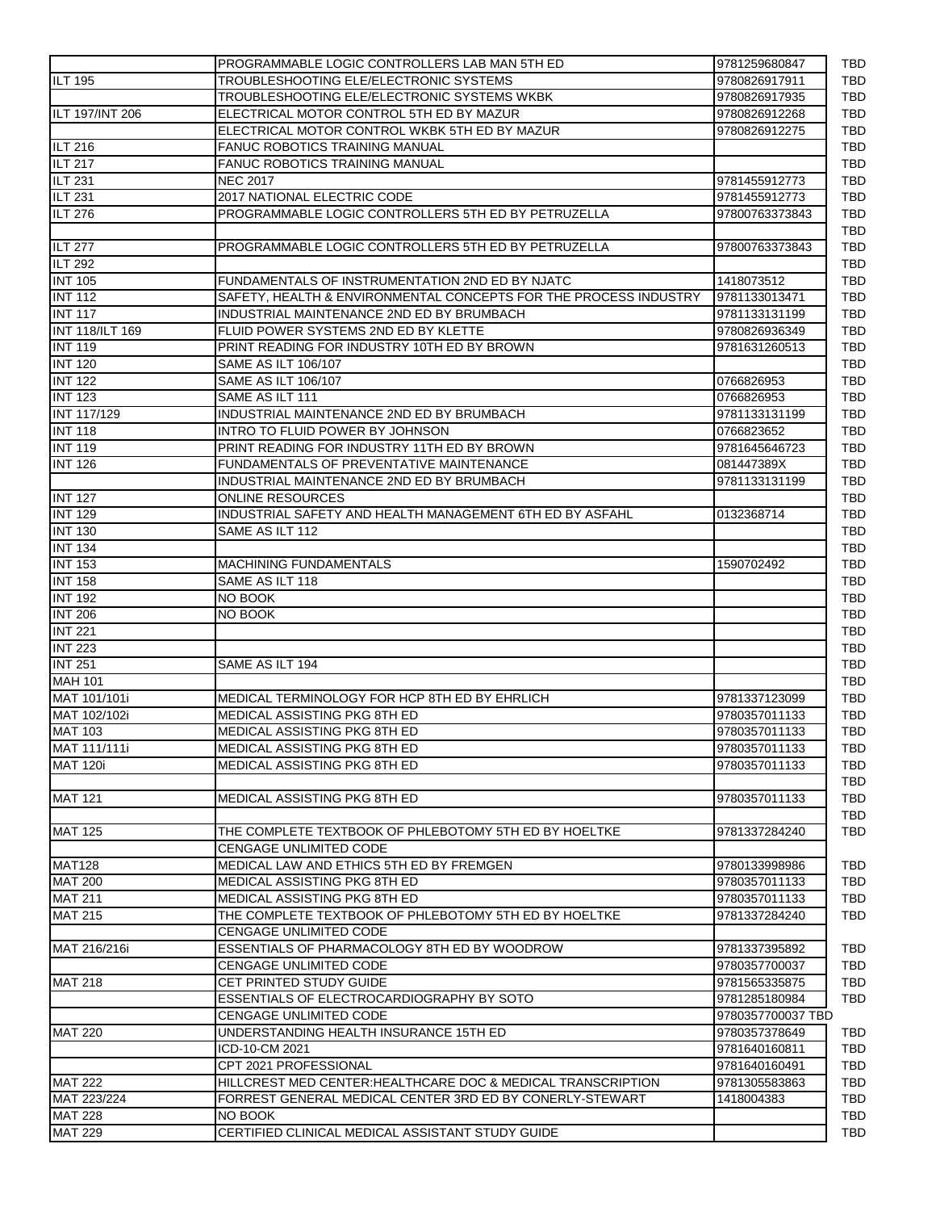|                             | PROGRAMMABLE LOGIC CONTROLLERS LAB MAN 5TH ED                    | 9781259680847     |
|-----------------------------|------------------------------------------------------------------|-------------------|
| <b>ILT 195</b>              | TROUBLESHOOTING ELE/ELECTRONIC SYSTEMS                           | 9780826917911     |
|                             | TROUBLESHOOTING ELE/ELECTRONIC SYSTEMS WKBK                      | 9780826917935     |
| ILT 197/INT 206             | ELECTRICAL MOTOR CONTROL 5TH ED BY MAZUR                         | 9780826912268     |
|                             | ELECTRICAL MOTOR CONTROL WKBK 5TH ED BY MAZUR                    | 9780826912275     |
| <b>ILT 216</b>              | <b>FANUC ROBOTICS TRAINING MANUAL</b>                            |                   |
| <b>ILT 217</b>              | FANUC ROBOTICS TRAINING MANUAL                                   |                   |
| $\overline{\text{ILT}}$ 231 | <b>NEC 2017</b>                                                  | 9781455912773     |
| <b>ILT 231</b>              | 2017 NATIONAL ELECTRIC CODE                                      | 9781455912773     |
| <b>ILT 276</b>              | PROGRAMMABLE LOGIC CONTROLLERS 5TH ED BY PETRUZELLA              | 97800763373843    |
|                             |                                                                  |                   |
| <b>ILT 277</b>              | PROGRAMMABLE LOGIC CONTROLLERS 5TH ED BY PETRUZELLA              | 97800763373843    |
| <b>ILT 292</b>              |                                                                  |                   |
| <b>INT 105</b>              | FUNDAMENTALS OF INSTRUMENTATION 2ND ED BY NJATC                  | 1418073512        |
| <b>INT 112</b>              | SAFETY, HEALTH & ENVIRONMENTAL CONCEPTS FOR THE PROCESS INDUSTRY | 9781133013471     |
| <b>INT 117</b>              | INDUSTRIAL MAINTENANCE 2ND ED BY BRUMBACH                        | 9781133131199     |
| <b>INT 118/ILT 169</b>      | FLUID POWER SYSTEMS 2ND ED BY KLETTE                             | 9780826936349     |
| <b>INT 119</b>              | PRINT READING FOR INDUSTRY 10TH ED BY BROWN                      | 9781631260513     |
| <b>INT 120</b>              | SAME AS ILT 106/107                                              |                   |
| <b>INT 122</b>              | SAME AS ILT 106/107                                              | 0766826953        |
| <b>INT 123</b>              | SAME AS ILT 111                                                  | 0766826953        |
| INT 117/129                 | INDUSTRIAL MAINTENANCE 2ND ED BY BRUMBACH                        | 9781133131199     |
| <b>INT 118</b>              | INTRO TO FLUID POWER BY JOHNSON                                  | 0766823652        |
| <b>INT 119</b>              | PRINT READING FOR INDUSTRY 11TH ED BY BROWN                      | 9781645646723     |
| <b>INT 126</b>              | FUNDAMENTALS OF PREVENTATIVE MAINTENANCE                         | 081447389X        |
|                             | INDUSTRIAL MAINTENANCE 2ND ED BY BRUMBACH                        | 9781133131199     |
| <b>INT 127</b>              | <b>ONLINE RESOURCES</b>                                          |                   |
| <b>INT 129</b>              | INDUSTRIAL SAFETY AND HEALTH MANAGEMENT 6TH ED BY ASFAHL         | 0132368714        |
| <b>INT 130</b>              | SAME AS ILT 112                                                  |                   |
| <b>INT 134</b>              |                                                                  |                   |
| <b>INT 153</b>              | <b>MACHINING FUNDAMENTALS</b>                                    | 1590702492        |
| <b>INT 158</b>              | SAME AS ILT 118                                                  |                   |
| <b>INT 192</b>              | NO BOOK                                                          |                   |
| <b>INT 206</b>              | NO BOOK                                                          |                   |
| <b>INT 221</b>              |                                                                  |                   |
| <b>INT 223</b>              |                                                                  |                   |
| <b>INT 251</b>              | SAME AS ILT 194                                                  |                   |
| <b>MAH 101</b>              |                                                                  |                   |
| MAT 101/101i                | MEDICAL TERMINOLOGY FOR HCP 8TH ED BY EHRLICH                    | 9781337123099     |
| MAT 102/102i                | MEDICAL ASSISTING PKG 8TH ED                                     | 9780357011133     |
| <b>MAT 103</b>              | <b>MEDICAL ASSISTING PKG 8TH ED</b>                              | 9780357011133     |
| MAT 111/111i                | MEDICAL ASSISTING PKG 8TH ED                                     | 9780357011133     |
| <b>MAT 120i</b>             | MEDICAL ASSISTING PKG 8TH ED                                     | 9780357011133     |
|                             |                                                                  |                   |
| <b>MAT 121</b>              | MEDICAL ASSISTING PKG 8TH ED                                     | 9780357011133     |
|                             |                                                                  |                   |
| <b>MAT 125</b>              | THE COMPLETE TEXTBOOK OF PHLEBOTOMY 5TH ED BY HOELTKE            | 9781337284240     |
|                             | CENGAGE UNLIMITED CODE                                           |                   |
| <b>MAT128</b>               | MEDICAL LAW AND ETHICS 5TH ED BY FREMGEN                         | 9780133998986     |
| <b>MAT 200</b>              | MEDICAL ASSISTING PKG 8TH ED                                     | 9780357011133     |
| <b>MAT 211</b>              | MEDICAL ASSISTING PKG 8TH ED                                     | 9780357011133     |
| <b>MAT 215</b>              | THE COMPLETE TEXTBOOK OF PHLEBOTOMY 5TH ED BY HOELTKE            | 9781337284240     |
|                             | <b>CENGAGE UNLIMITED CODE</b>                                    |                   |
| MAT 216/216i                | ESSENTIALS OF PHARMACOLOGY 8TH ED BY WOODROW                     | 9781337395892     |
|                             | CENGAGE UNLIMITED CODE                                           | 9780357700037     |
| <b>MAT 218</b>              | CET PRINTED STUDY GUIDE                                          | 9781565335875     |
|                             | ESSENTIALS OF ELECTROCARDIOGRAPHY BY SOTO                        | 9781285180984     |
|                             | <b>CENGAGE UNLIMITED CODE</b>                                    | 9780357700037 TBD |
| <b>MAT 220</b>              | UNDERSTANDING HEALTH INSURANCE 15TH ED                           | 9780357378649     |
|                             | ICD-10-CM 2021                                                   | 9781640160811     |
|                             | CPT 2021 PROFESSIONAL                                            | 9781640160491     |
| <b>MAT 222</b>              | HILLCREST MED CENTER:HEALTHCARE DOC & MEDICAL TRANSCRIPTION      | 9781305583863     |
| MAT 223/224                 | FORREST GENERAL MEDICAL CENTER 3RD ED BY CONERLY-STEWART         | 1418004383        |
| <b>MAT 228</b>              | NO BOOK                                                          |                   |
| <b>MAT 229</b>              | CERTIFIED CLINICAL MEDICAL ASSISTANT STUDY GUIDE                 |                   |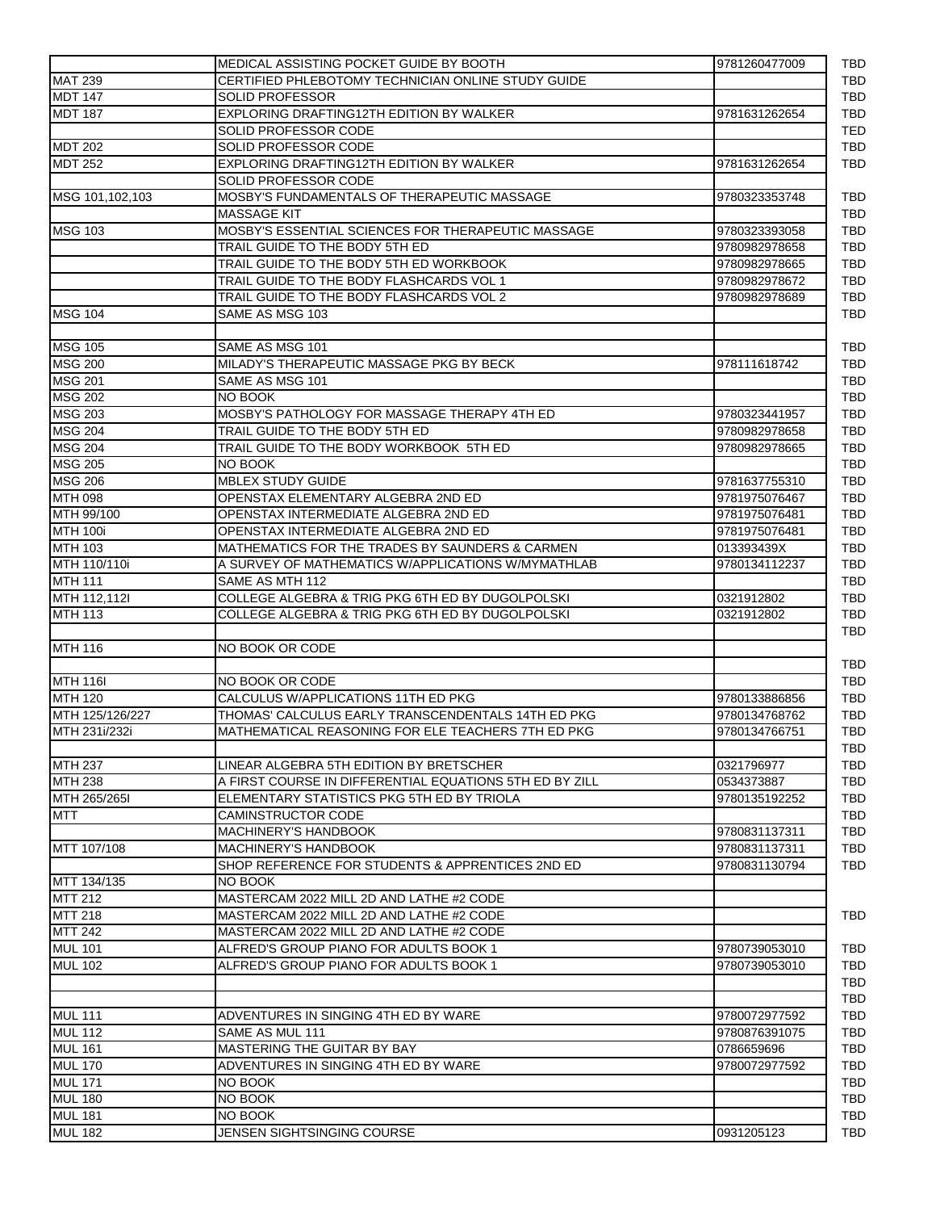|                                  | MEDICAL ASSISTING POCKET GUIDE BY BOOTH                                              | 9781260477009 |
|----------------------------------|--------------------------------------------------------------------------------------|---------------|
| <b>MAT 239</b>                   | CERTIFIED PHLEBOTOMY TECHNICIAN ONLINE STUDY GUIDE                                   |               |
| <b>MDT 147</b>                   | <b>SOLID PROFESSOR</b>                                                               |               |
| <b>MDT 187</b>                   | EXPLORING DRAFTING12TH EDITION BY WALKER                                             | 9781631262654 |
|                                  | SOLID PROFESSOR CODE                                                                 |               |
| <b>MDT 202</b>                   | SOLID PROFESSOR CODE                                                                 |               |
| <b>MDT 252</b>                   | EXPLORING DRAFTING12TH EDITION BY WALKER                                             | 9781631262654 |
|                                  | SOLID PROFESSOR CODE                                                                 |               |
| MSG 101,102,103                  | MOSBY'S FUNDAMENTALS OF THERAPEUTIC MASSAGE                                          | 9780323353748 |
|                                  | <b>MASSAGE KIT</b>                                                                   |               |
| <b>MSG 103</b>                   | MOSBY'S ESSENTIAL SCIENCES FOR THERAPEUTIC MASSAGE                                   | 9780323393058 |
|                                  | TRAIL GUIDE TO THE BODY 5TH ED                                                       | 9780982978658 |
|                                  | TRAIL GUIDE TO THE BODY 5TH ED WORKBOOK                                              | 9780982978665 |
|                                  | TRAIL GUIDE TO THE BODY FLASHCARDS VOL 1                                             | 9780982978672 |
|                                  | TRAIL GUIDE TO THE BODY FLASHCARDS VOL 2                                             | 9780982978689 |
| <b>MSG 104</b>                   | SAME AS MSG 103                                                                      |               |
|                                  |                                                                                      |               |
| <b>MSG 105</b><br><b>MSG 200</b> | SAME AS MSG 101<br>MILADY'S THERAPEUTIC MASSAGE PKG BY BECK                          |               |
| <b>MSG 201</b>                   | SAME AS MSG 101                                                                      | 978111618742  |
| <b>MSG 202</b>                   | NO BOOK                                                                              |               |
| <b>MSG 203</b>                   | MOSBY'S PATHOLOGY FOR MASSAGE THERAPY 4TH ED                                         | 9780323441957 |
| <b>MSG 204</b>                   | TRAIL GUIDE TO THE BODY 5TH ED                                                       | 9780982978658 |
| <b>MSG 204</b>                   | TRAIL GUIDE TO THE BODY WORKBOOK 5TH ED                                              | 9780982978665 |
| <b>MSG 205</b>                   | NO BOOK                                                                              |               |
| <b>MSG 206</b>                   | <b>MBLEX STUDY GUIDE</b>                                                             | 9781637755310 |
| <b>MTH 098</b>                   | OPENSTAX ELEMENTARY ALGEBRA 2ND ED                                                   | 9781975076467 |
| MTH 99/100                       | OPENSTAX INTERMEDIATE ALGEBRA 2ND ED                                                 | 9781975076481 |
| <b>MTH 100i</b>                  | OPENSTAX INTERMEDIATE ALGEBRA 2ND ED                                                 | 9781975076481 |
| <b>MTH 103</b>                   | MATHEMATICS FOR THE TRADES BY SAUNDERS & CARMEN                                      | 013393439X    |
| MTH 110/110i                     | A SURVEY OF MATHEMATICS W/APPLICATIONS W/MYMATHLAB                                   | 9780134112237 |
| <b>MTH 111</b>                   | SAME AS MTH 112                                                                      |               |
| MTH 112,112I                     | COLLEGE ALGEBRA & TRIG PKG 6TH ED BY DUGOLPOLSKI                                     | 0321912802    |
| <b>MTH 113</b>                   | COLLEGE ALGEBRA & TRIG PKG 6TH ED BY DUGOLPOLSKI                                     | 0321912802    |
|                                  |                                                                                      |               |
| <b>MTH 116</b>                   | NO BOOK OR CODE                                                                      |               |
|                                  |                                                                                      |               |
| <b>MTH 116I</b>                  | NO BOOK OR CODE                                                                      |               |
| <b>MTH 120</b>                   | CALCULUS W/APPLICATIONS 11TH ED PKG                                                  | 9780133886856 |
| MTH 125/126/227                  | THOMAS' CALCULUS EARLY TRANSCENDENTALS 14TH ED PKG                                   | 9780134768762 |
| MTH 231i/232i                    | MATHEMATICAL REASONING FOR ELE TEACHERS 7TH ED PKG                                   | 9780134766751 |
|                                  |                                                                                      |               |
| <b>MTH 237</b>                   | LINEAR ALGEBRA 5TH EDITION BY BRETSCHER                                              | 0321796977    |
| <b>MTH 238</b>                   | A FIRST COURSE IN DIFFERENTIAL EQUATIONS 5TH ED BY ZILL                              | 0534373887    |
| MTH 265/265I                     | ELEMENTARY STATISTICS PKG 5TH ED BY TRIOLA                                           | 9780135192252 |
| <b>MTT</b>                       | CAMINSTRUCTOR CODE                                                                   |               |
|                                  | <b>MACHINERY'S HANDBOOK</b>                                                          | 9780831137311 |
| MTT 107/108                      | MACHINERY'S HANDBOOK                                                                 | 9780831137311 |
|                                  | SHOP REFERENCE FOR STUDENTS & APPRENTICES 2ND ED                                     | 9780831130794 |
| MTT 134/135                      | NO BOOK                                                                              |               |
| <b>MTT 212</b>                   | MASTERCAM 2022 MILL 2D AND LATHE #2 CODE<br>MASTERCAM 2022 MILL 2D AND LATHE #2 CODE |               |
| <b>MTT 218</b>                   |                                                                                      |               |
| <b>MTT 242</b>                   | MASTERCAM 2022 MILL 2D AND LATHE #2 CODE                                             |               |
| <b>MUL 101</b>                   | ALFRED'S GROUP PIANO FOR ADULTS BOOK 1                                               | 9780739053010 |
| <b>MUL 102</b>                   | ALFRED'S GROUP PIANO FOR ADULTS BOOK 1                                               | 9780739053010 |
|                                  |                                                                                      |               |
| <b>MUL 111</b>                   | ADVENTURES IN SINGING 4TH ED BY WARE                                                 | 9780072977592 |
| <b>MUL 112</b>                   | SAME AS MUL 111                                                                      | 9780876391075 |
| <b>MUL 161</b>                   | <b>MASTERING THE GUITAR BY BAY</b>                                                   | 0786659696    |
| <b>MUL 170</b>                   | ADVENTURES IN SINGING 4TH ED BY WARE                                                 | 9780072977592 |
| <b>MUL 171</b>                   | NO BOOK                                                                              |               |
| <b>MUL 180</b>                   | NO BOOK                                                                              |               |
| <b>MUL 181</b>                   | NO BOOK                                                                              |               |
| <b>MUL 182</b>                   | JENSEN SIGHTSINGING COURSE                                                           | 0931205123    |
|                                  |                                                                                      |               |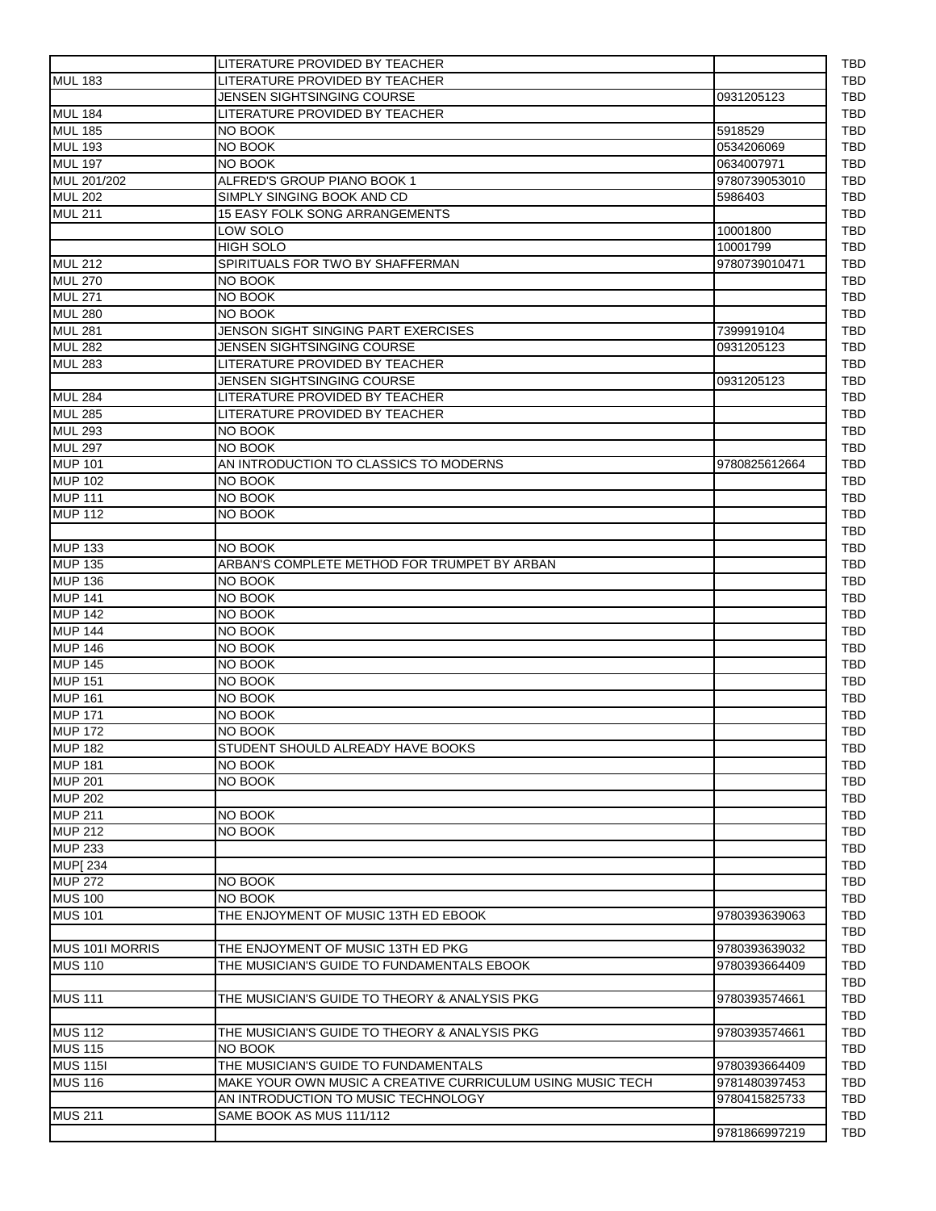|                 | LITERATURE PROVIDED BY TEACHER                             |               |
|-----------------|------------------------------------------------------------|---------------|
| <b>MUL 183</b>  | LITERATURE PROVIDED BY TEACHER                             |               |
|                 | JENSEN SIGHTSINGING COURSE                                 | 0931205123    |
| <b>MUL 184</b>  | LITERATURE PROVIDED BY TEACHER                             |               |
| <b>MUL 185</b>  | NO BOOK                                                    | 5918529       |
| <b>MUL 193</b>  | NO BOOK                                                    | 0534206069    |
| <b>MUL 197</b>  | NO BOOK                                                    | 0634007971    |
| MUL 201/202     | ALFRED'S GROUP PIANO BOOK 1                                | 9780739053010 |
| <b>MUL 202</b>  | SIMPLY SINGING BOOK AND CD                                 | 5986403       |
| <b>MUL 211</b>  | <b>15 EASY FOLK SONG ARRANGEMENTS</b>                      |               |
|                 | LOW SOLO                                                   | 10001800      |
|                 | <b>HIGH SOLO</b>                                           | 10001799      |
| <b>MUL 212</b>  | SPIRITUALS FOR TWO BY SHAFFERMAN                           | 9780739010471 |
| <b>MUL 270</b>  | NO BOOK                                                    |               |
| <b>MUL 271</b>  | NO BOOK                                                    |               |
| <b>MUL 280</b>  | NO BOOK                                                    |               |
| <b>MUL 281</b>  | JENSON SIGHT SINGING PART EXERCISES                        | 7399919104    |
| <b>MUL 282</b>  | JENSEN SIGHTSINGING COURSE                                 | 0931205123    |
| <b>MUL 283</b>  | LITERATURE PROVIDED BY TEACHER                             |               |
|                 | JENSEN SIGHTSINGING COURSE                                 | 0931205123    |
| <b>MUL 284</b>  | LITERATURE PROVIDED BY TEACHER                             |               |
| <b>MUL 285</b>  | LITERATURE PROVIDED BY TEACHER                             |               |
| <b>MUL 293</b>  | NO BOOK                                                    |               |
| <b>MUL 297</b>  | NO BOOK                                                    |               |
| <b>MUP 101</b>  | AN INTRODUCTION TO CLASSICS TO MODERNS                     | 9780825612664 |
| <b>MUP 102</b>  | NO BOOK                                                    |               |
| <b>MUP 111</b>  | NO BOOK                                                    |               |
| <b>MUP 112</b>  | NO BOOK                                                    |               |
|                 |                                                            |               |
| <b>MUP 133</b>  | NO BOOK                                                    |               |
| <b>MUP 135</b>  | ARBAN'S COMPLETE METHOD FOR TRUMPET BY ARBAN               |               |
| <b>MUP 136</b>  | NO BOOK                                                    |               |
| <b>MUP 141</b>  | NO BOOK                                                    |               |
| <b>MUP 142</b>  | NO BOOK                                                    |               |
| <b>MUP 144</b>  | NO BOOK                                                    |               |
| <b>MUP 146</b>  | NO BOOK                                                    |               |
| <b>MUP 145</b>  | NO BOOK                                                    |               |
| <b>MUP 151</b>  | NO BOOK                                                    |               |
| <b>MUP 161</b>  |                                                            |               |
|                 | NO BOOK                                                    |               |
| <b>MUP 171</b>  | NO BOOK                                                    |               |
| <b>MUP 172</b>  | NO BOOK                                                    |               |
| <b>MUP 182</b>  | STUDENT SHOULD ALREADY HAVE BOOKS                          |               |
| <b>MUP 181</b>  | NO BOOK                                                    |               |
| <b>MUP 201</b>  | NO BOOK                                                    |               |
| <b>MUP 202</b>  |                                                            |               |
| <b>MUP 211</b>  | NO BOOK                                                    |               |
| <b>MUP 212</b>  | NO BOOK                                                    |               |
| <b>MUP 233</b>  |                                                            |               |
| <b>MUP[234</b>  |                                                            |               |
| <b>MUP 272</b>  | NO BOOK                                                    |               |
| <b>MUS 100</b>  | NO BOOK                                                    |               |
| <b>MUS 101</b>  | THE ENJOYMENT OF MUSIC 13TH ED EBOOK                       | 9780393639063 |
|                 |                                                            |               |
| MUS 101I MORRIS | THE ENJOYMENT OF MUSIC 13TH ED PKG                         | 9780393639032 |
| <b>MUS 110</b>  | THE MUSICIAN'S GUIDE TO FUNDAMENTALS EBOOK                 | 9780393664409 |
|                 |                                                            |               |
| <b>MUS 111</b>  | THE MUSICIAN'S GUIDE TO THEORY & ANALYSIS PKG              | 9780393574661 |
|                 |                                                            |               |
| <b>MUS 112</b>  | THE MUSICIAN'S GUIDE TO THEORY & ANALYSIS PKG              | 9780393574661 |
| <b>MUS 115</b>  | NO BOOK                                                    |               |
| <b>MUS 115I</b> | THE MUSICIAN'S GUIDE TO FUNDAMENTALS                       | 9780393664409 |
| <b>MUS 116</b>  | MAKE YOUR OWN MUSIC A CREATIVE CURRICULUM USING MUSIC TECH | 9781480397453 |
|                 | AN INTRODUCTION TO MUSIC TECHNOLOGY                        | 9780415825733 |
| <b>MUS 211</b>  | SAME BOOK AS MUS 111/112                                   |               |
|                 |                                                            |               |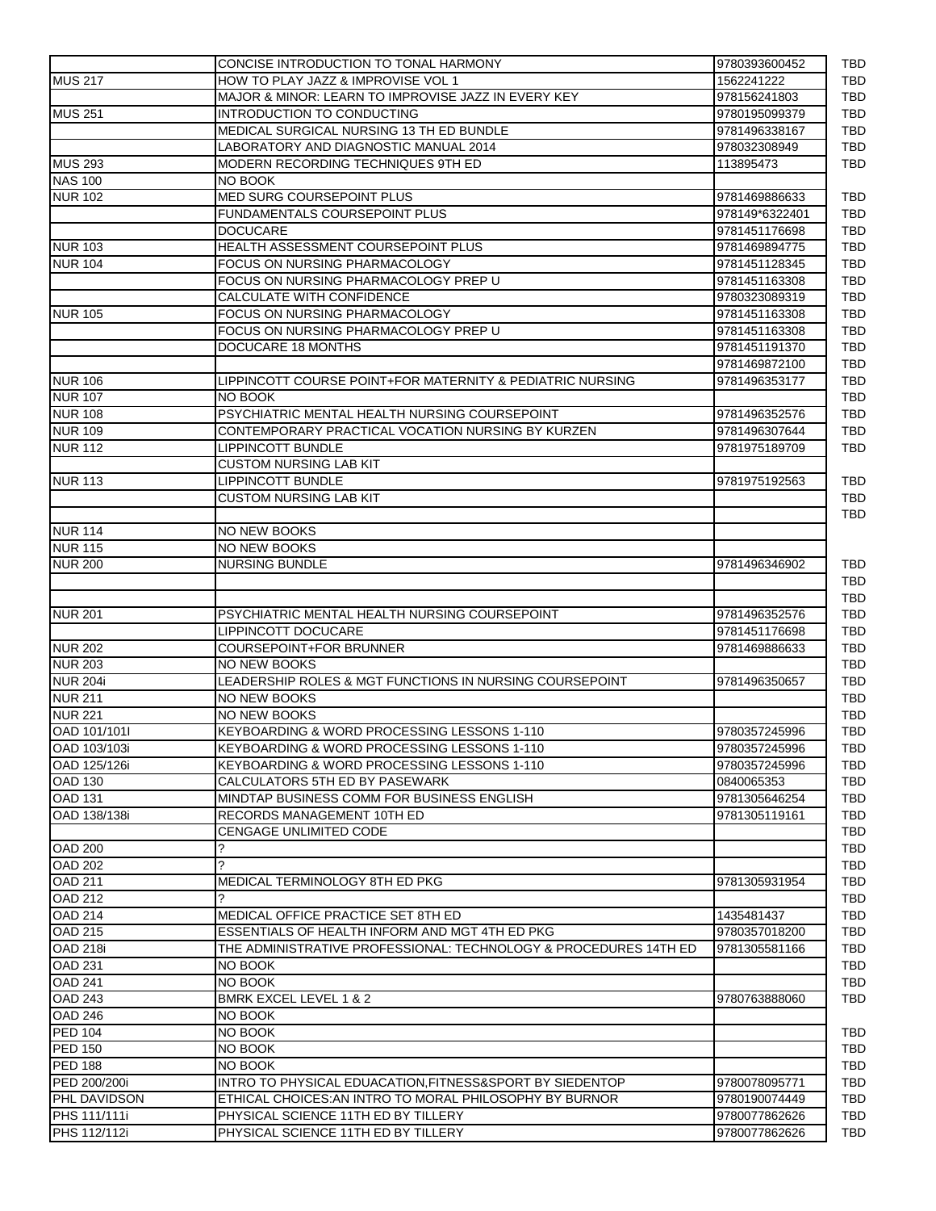|                                              | CONCISE INTRODUCTION TO TONAL HARMONY                            | 9780393600452  |
|----------------------------------------------|------------------------------------------------------------------|----------------|
| <b>MUS 217</b>                               | HOW TO PLAY JAZZ & IMPROVISE VOL 1                               | 1562241222     |
|                                              | MAJOR & MINOR: LEARN TO IMPROVISE JAZZ IN EVERY KEY              | 978156241803   |
| <b>MUS 251</b>                               | INTRODUCTION TO CONDUCTING                                       | 9780195099379  |
|                                              | MEDICAL SURGICAL NURSING 13 TH ED BUNDLE                         | 9781496338167  |
|                                              | LABORATORY AND DIAGNOSTIC MANUAL 2014                            | 978032308949   |
| <b>MUS 293</b>                               | MODERN RECORDING TECHNIQUES 9TH ED                               | 113895473      |
| <b>NAS 100</b>                               | NO BOOK                                                          |                |
| <b>NUR 102</b>                               | <b>MED SURG COURSEPOINT PLUS</b>                                 | 9781469886633  |
|                                              | <b>FUNDAMENTALS COURSEPOINT PLUS</b>                             | 978149*6322401 |
|                                              | <b>DOCUCARE</b>                                                  | 9781451176698  |
| <b>NUR 103</b>                               | HEALTH ASSESSMENT COURSEPOINT PLUS                               | 9781469894775  |
| <b>NUR 104</b>                               | FOCUS ON NURSING PHARMACOLOGY                                    | 9781451128345  |
|                                              | FOCUS ON NURSING PHARMACOLOGY PREP U                             | 9781451163308  |
|                                              | CALCULATE WITH CONFIDENCE                                        | 9780323089319  |
| <b>NUR 105</b>                               | FOCUS ON NURSING PHARMACOLOGY                                    | 9781451163308  |
|                                              | FOCUS ON NURSING PHARMACOLOGY PREP U                             | 9781451163308  |
|                                              | DOCUCARE 18 MONTHS                                               | 9781451191370  |
|                                              |                                                                  | 9781469872100  |
| <b>NUR 106</b>                               | LIPPINCOTT COURSE POINT+FOR MATERNITY & PEDIATRIC NURSING        |                |
|                                              |                                                                  | 9781496353177  |
| <b>NUR 107</b>                               | NO BOOK                                                          |                |
| <b>NUR 108</b>                               | PSYCHIATRIC MENTAL HEALTH NURSING COURSEPOINT                    | 9781496352576  |
| <b>NUR 109</b>                               | CONTEMPORARY PRACTICAL VOCATION NURSING BY KURZEN                | 9781496307644  |
| <b>NUR 112</b>                               | LIPPINCOTT BUNDLE                                                | 9781975189709  |
|                                              | <b>CUSTOM NURSING LAB KIT</b>                                    |                |
| <b>NUR 113</b>                               | <b>LIPPINCOTT BUNDLE</b>                                         | 9781975192563  |
|                                              | <b>CUSTOM NURSING LAB KIT</b>                                    |                |
|                                              |                                                                  |                |
| <b>NUR 114</b>                               | NO NEW BOOKS                                                     |                |
| <b>NUR 115</b>                               | NO NEW BOOKS                                                     |                |
| <b>NUR 200</b>                               | <b>NURSING BUNDLE</b>                                            | 9781496346902  |
|                                              |                                                                  |                |
|                                              |                                                                  |                |
| <b>NUR 201</b>                               | PSYCHIATRIC MENTAL HEALTH NURSING COURSEPOINT                    | 9781496352576  |
|                                              | LIPPINCOTT DOCUCARE                                              | 9781451176698  |
| <b>NUR 202</b>                               | COURSEPOINT+FOR BRUNNER                                          | 9781469886633  |
| <b>NUR 203</b>                               | NO NEW BOOKS                                                     |                |
| <b>NUR 204i</b>                              | LEADERSHIP ROLES & MGT FUNCTIONS IN NURSING COURSEPOINT          | 9781496350657  |
| <b>NUR 211</b>                               | NO NEW BOOKS                                                     |                |
| <b>NUR 221</b>                               | NO NEW BOOKS                                                     |                |
| OAD 101/1011                                 | KEYBOARDING & WORD PROCESSING LESSONS 1-110                      | 9780357245996  |
|                                              |                                                                  |                |
| OAD 103/103i                                 | KEYBOARDING & WORD PROCESSING LESSONS 1-110                      | 9780357245996  |
| OAD 125/126i                                 | KEYBOARDING & WORD PROCESSING LESSONS 1-110                      | 9780357245996  |
| <b>OAD 130</b>                               | CALCULATORS 5TH ED BY PASEWARK                                   | 0840065353     |
| <b>OAD 131</b>                               | MINDTAP BUSINESS COMM FOR BUSINESS ENGLISH                       | 9781305646254  |
| OAD 138/138i                                 | RECORDS MANAGEMENT 10TH ED                                       | 9781305119161  |
|                                              | <b>CENGAGE UNLIMITED CODE</b>                                    |                |
| <b>OAD 200</b>                               | ?                                                                |                |
| <b>OAD 202</b>                               | ?                                                                |                |
| <b>OAD 211</b>                               | MEDICAL TERMINOLOGY 8TH ED PKG                                   | 9781305931954  |
| <b>OAD 212</b>                               | ?                                                                |                |
| <b>OAD 214</b>                               | MEDICAL OFFICE PRACTICE SET 8TH ED                               | 1435481437     |
| <b>OAD 215</b>                               | ESSENTIALS OF HEALTH INFORM AND MGT 4TH ED PKG                   | 9780357018200  |
| OAD 218i                                     | THE ADMINISTRATIVE PROFESSIONAL: TECHNOLOGY & PROCEDURES 14TH ED | 9781305581166  |
| OAD 231                                      | NO BOOK                                                          |                |
| <b>OAD 241</b>                               | NO BOOK                                                          |                |
| <b>OAD 243</b>                               | BMRK EXCEL LEVEL 1 & 2                                           | 9780763888060  |
| <b>OAD 246</b>                               | NO BOOK                                                          |                |
|                                              |                                                                  |                |
| <b>PED 104</b>                               | NO BOOK                                                          |                |
| <b>PED 150</b>                               | NO BOOK                                                          |                |
| <b>PED 188</b>                               | NO BOOK                                                          |                |
|                                              | INTRO TO PHYSICAL EDUACATION, FITNESS&SPORT BY SIEDENTOP         | 9780078095771  |
|                                              |                                                                  |                |
|                                              | ETHICAL CHOICES: AN INTRO TO MORAL PHILOSOPHY BY BURNOR          | 9780190074449  |
| PED 200/200i<br>PHL DAVIDSON<br>PHS 111/111i | PHYSICAL SCIENCE 11TH ED BY TILLERY                              | 9780077862626  |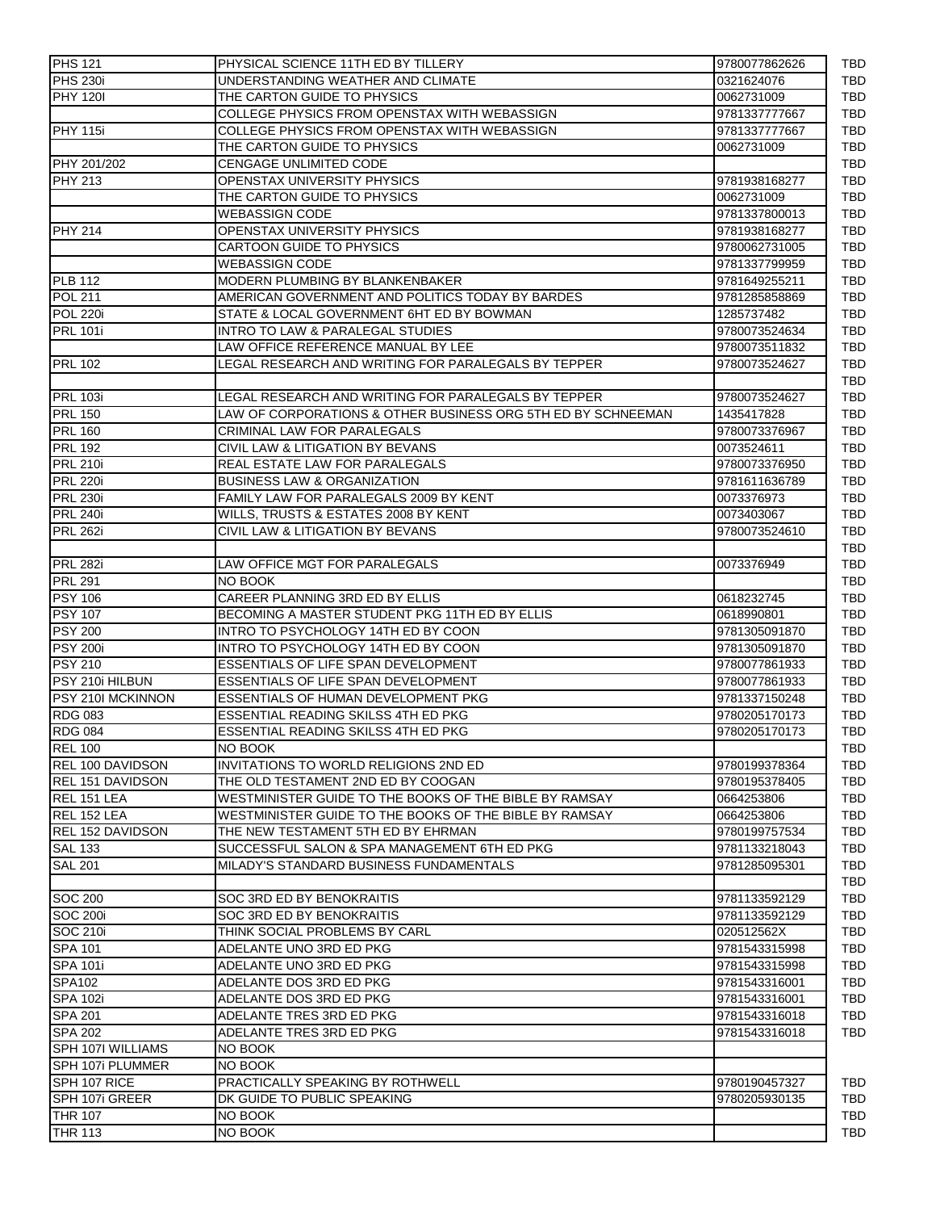| <b>PHS 121</b>           | PHYSICAL SCIENCE 11TH ED BY TILLERY                          | 9780077862626 | TBD        |
|--------------------------|--------------------------------------------------------------|---------------|------------|
| <b>PHS 230i</b>          | UNDERSTANDING WEATHER AND CLIMATE                            | 0321624076    | TBD        |
| <b>PHY 1201</b>          | THE CARTON GUIDE TO PHYSICS                                  | 0062731009    | TBD        |
|                          | COLLEGE PHYSICS FROM OPENSTAX WITH WEBASSIGN                 | 9781337777667 | <b>TBD</b> |
| <b>PHY 115i</b>          | COLLEGE PHYSICS FROM OPENSTAX WITH WEBASSIGN                 | 9781337777667 | TBD        |
|                          | THE CARTON GUIDE TO PHYSICS                                  | 0062731009    | <b>TBD</b> |
| <b>PHY 201/202</b>       | <b>CENGAGE UNLIMITED CODE</b>                                |               | <b>TBD</b> |
| <b>PHY 213</b>           | OPENSTAX UNIVERSITY PHYSICS                                  | 9781938168277 | TBD        |
|                          | THE CARTON GUIDE TO PHYSICS                                  | 0062731009    | <b>TBD</b> |
|                          | <b>WEBASSIGN CODE</b>                                        | 9781337800013 | TBD        |
| <b>PHY 214</b>           | OPENSTAX UNIVERSITY PHYSICS                                  | 9781938168277 | TBD        |
|                          | <b>CARTOON GUIDE TO PHYSICS</b>                              | 9780062731005 | TBD        |
|                          | <b>WEBASSIGN CODE</b>                                        | 9781337799959 | TBD        |
| <b>PLB</b> 112           | MODERN PLUMBING BY BLANKENBAKER                              | 9781649255211 | TBD        |
| <b>POL 211</b>           | AMERICAN GOVERNMENT AND POLITICS TODAY BY BARDES             | 9781285858869 | <b>TBD</b> |
| <b>POL 220i</b>          | STATE & LOCAL GOVERNMENT 6HT ED BY BOWMAN                    | 1285737482    | <b>TBD</b> |
| <b>PRL 101i</b>          | INTRO TO LAW & PARALEGAL STUDIES                             | 9780073524634 | <b>TBD</b> |
|                          | LAW OFFICE REFERENCE MANUAL BY LEE                           | 9780073511832 | TBD        |
| <b>PRL 102</b>           | LEGAL RESEARCH AND WRITING FOR PARALEGALS BY TEPPER          | 9780073524627 | TBD        |
|                          |                                                              |               | <b>TBD</b> |
|                          |                                                              |               |            |
| <b>PRL 103i</b>          | LEGAL RESEARCH AND WRITING FOR PARALEGALS BY TEPPER          | 9780073524627 | TBD        |
| <b>PRL 150</b>           | LAW OF CORPORATIONS & OTHER BUSINESS ORG 5TH ED BY SCHNEEMAN | 1435417828    | TBD        |
| <b>PRL 160</b>           | CRIMINAL LAW FOR PARALEGALS                                  | 9780073376967 | TBD        |
| <b>PRL 192</b>           | CIVIL LAW & LITIGATION BY BEVANS                             | 0073524611    | TBD        |
| <b>PRL 210i</b>          | <b>REAL ESTATE LAW FOR PARALEGALS</b>                        | 9780073376950 | TBD        |
| <b>PRL 220i</b>          | <b>BUSINESS LAW &amp; ORGANIZATION</b>                       | 9781611636789 | TBD        |
| <b>PRL 230i</b>          | FAMILY LAW FOR PARALEGALS 2009 BY KENT                       | 0073376973    | TBD        |
| <b>PRL 240i</b>          | WILLS, TRUSTS & ESTATES 2008 BY KENT                         | 0073403067    | <b>TBD</b> |
| PRL 262i                 | CIVIL LAW & LITIGATION BY BEVANS                             | 9780073524610 | TBD        |
|                          |                                                              |               | TBD        |
| <b>PRL 282i</b>          | LAW OFFICE MGT FOR PARALEGALS                                | 0073376949    | <b>TBD</b> |
| <b>PRL 291</b>           | NO BOOK                                                      |               | TBD        |
| <b>PSY 106</b>           | CAREER PLANNING 3RD ED BY ELLIS                              | 0618232745    | TBD        |
| <b>PSY 107</b>           | BECOMING A MASTER STUDENT PKG 11TH ED BY ELLIS               | 0618990801    | <b>TBD</b> |
| <b>PSY 200</b>           | INTRO TO PSYCHOLOGY 14TH ED BY COON                          | 9781305091870 | TBD        |
| <b>PSY 200i</b>          | INTRO TO PSYCHOLOGY 14TH ED BY COON                          | 9781305091870 | TBD        |
| <b>PSY 210</b>           | ESSENTIALS OF LIFE SPAN DEVELOPMENT                          | 9780077861933 | TBD        |
| PSY 210i HILBUN          | ESSENTIALS OF LIFE SPAN DEVELOPMENT                          | 9780077861933 | TBD        |
| PSY 210I MCKINNON        | ESSENTIALS OF HUMAN DEVELOPMENT PKG                          | 9781337150248 | TBD        |
| <b>RDG 083</b>           | <b>ESSENTIAL READING SKILSS 4TH ED PKG</b>                   | 9780205170173 | TBD        |
| <b>RDG 084</b>           | <b>ESSENTIAL READING SKILSS 4TH ED PKG</b>                   | 9780205170173 | TBD        |
| <b>REL 100</b>           | NO BOOK                                                      |               | TBD        |
| REL 100 DAVIDSON         | INVITATIONS TO WORLD RELIGIONS 2ND ED                        | 9780199378364 | TBD        |
| <b>REL 151 DAVIDSON</b>  | THE OLD TESTAMENT 2ND ED BY COOGAN                           | 9780195378405 | TBD        |
| REL 151 LEA              | WESTMINISTER GUIDE TO THE BOOKS OF THE BIBLE BY RAMSAY       | 0664253806    | TBD        |
| REL 152 LEA              | WESTMINISTER GUIDE TO THE BOOKS OF THE BIBLE BY RAMSAY       | 0664253806    | TBD        |
| <b>REL 152 DAVIDSON</b>  | THE NEW TESTAMENT 5TH ED BY EHRMAN                           | 9780199757534 | TBD        |
| <b>SAL 133</b>           | SUCCESSFUL SALON & SPA MANAGEMENT 6TH ED PKG                 | 9781133218043 | <b>TBD</b> |
| <b>SAL 201</b>           | MILADY'S STANDARD BUSINESS FUNDAMENTALS                      | 9781285095301 | TBD        |
|                          |                                                              |               | TBD        |
| <b>SOC 200</b>           | SOC 3RD ED BY BENOKRAITIS                                    | 9781133592129 | TBD        |
| <b>SOC 200i</b>          | SOC 3RD ED BY BENOKRAITIS                                    | 9781133592129 | TBD        |
| <b>SOC 210i</b>          | THINK SOCIAL PROBLEMS BY CARL                                | 020512562X    | TBD        |
| <b>SPA 101</b>           | ADELANTE UNO 3RD ED PKG                                      | 9781543315998 | TBD        |
| <b>SPA 101i</b>          | ADELANTE UNO 3RD ED PKG                                      | 9781543315998 | TBD        |
|                          |                                                              |               |            |
| <b>SPA102</b>            | ADELANTE DOS 3RD ED PKG                                      | 9781543316001 | TBD        |
| <b>SPA 102i</b>          | ADELANTE DOS 3RD ED PKG                                      | 9781543316001 | TBD        |
| <b>SPA 201</b>           | ADELANTE TRES 3RD ED PKG                                     | 9781543316018 | TBD        |
| <b>SPA 202</b>           | ADELANTE TRES 3RD ED PKG                                     | 9781543316018 | <b>TBD</b> |
| <b>SPH 107I WILLIAMS</b> | NO BOOK                                                      |               |            |
| SPH 107i PLUMMER         | NO BOOK                                                      |               |            |
| SPH 107 RICE             | <b>PRACTICALLY SPEAKING BY ROTHWELL</b>                      | 9780190457327 | TBD        |
| SPH 107i GREER           | DK GUIDE TO PUBLIC SPEAKING                                  | 9780205930135 | TBD        |
| <b>THR 107</b>           | NO BOOK                                                      |               | TBD        |
| <b>THR 113</b>           | NO BOOK                                                      |               | TBD        |